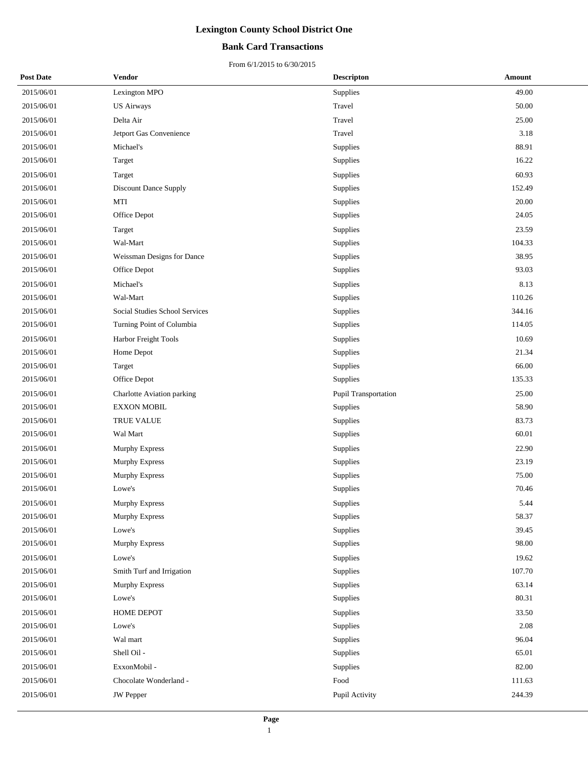### **Bank Card Transactions**

| <b>Post Date</b> | Vendor                         | <b>Descripton</b>    | Amount |
|------------------|--------------------------------|----------------------|--------|
| 2015/06/01       | Lexington MPO                  | Supplies             | 49.00  |
| 2015/06/01       | <b>US Airways</b>              | Travel               | 50.00  |
| 2015/06/01       | Delta Air                      | Travel               | 25.00  |
| 2015/06/01       | Jetport Gas Convenience        | Travel               | 3.18   |
| 2015/06/01       | Michael's                      | Supplies             | 88.91  |
| 2015/06/01       | Target                         | Supplies             | 16.22  |
| 2015/06/01       | Target                         | Supplies             | 60.93  |
| 2015/06/01       | <b>Discount Dance Supply</b>   | Supplies             | 152.49 |
| 2015/06/01       | MTI                            | Supplies             | 20.00  |
| 2015/06/01       | Office Depot                   | Supplies             | 24.05  |
| 2015/06/01       | Target                         | Supplies             | 23.59  |
| 2015/06/01       | Wal-Mart                       | Supplies             | 104.33 |
| 2015/06/01       | Weissman Designs for Dance     | Supplies             | 38.95  |
| 2015/06/01       | Office Depot                   | Supplies             | 93.03  |
| 2015/06/01       | Michael's                      | Supplies             | 8.13   |
| 2015/06/01       | Wal-Mart                       | Supplies             | 110.26 |
| 2015/06/01       | Social Studies School Services | Supplies             | 344.16 |
| 2015/06/01       | Turning Point of Columbia      | Supplies             | 114.05 |
| 2015/06/01       | Harbor Freight Tools           | Supplies             | 10.69  |
| 2015/06/01       | Home Depot                     | Supplies             | 21.34  |
| 2015/06/01       | Target                         | Supplies             | 66.00  |
| 2015/06/01       | Office Depot                   | Supplies             | 135.33 |
| 2015/06/01       | Charlotte Aviation parking     | Pupil Transportation | 25.00  |
| 2015/06/01       | <b>EXXON MOBIL</b>             | Supplies             | 58.90  |
| 2015/06/01       | TRUE VALUE                     | Supplies             | 83.73  |
| 2015/06/01       | Wal Mart                       | Supplies             | 60.01  |
| 2015/06/01       | Murphy Express                 | Supplies             | 22.90  |
| 2015/06/01       | Murphy Express                 | Supplies             | 23.19  |
| 2015/06/01       | Murphy Express                 | Supplies             | 75.00  |
| 2015/06/01       | Lowe's                         | Supplies             | 70.46  |
| 2015/06/01       | Murphy Express                 | Supplies             | 5.44   |
| 2015/06/01       | Murphy Express                 | Supplies             | 58.37  |
| 2015/06/01       | Lowe's                         | Supplies             | 39.45  |
| 2015/06/01       | Murphy Express                 | Supplies             | 98.00  |
| 2015/06/01       | Lowe's                         | Supplies             | 19.62  |
| 2015/06/01       | Smith Turf and Irrigation      | Supplies             | 107.70 |
| 2015/06/01       | Murphy Express                 | Supplies             | 63.14  |
| 2015/06/01       | Lowe's                         | Supplies             | 80.31  |
| 2015/06/01       | HOME DEPOT                     | Supplies             | 33.50  |
| 2015/06/01       | Lowe's                         | Supplies             | 2.08   |
| 2015/06/01       | Wal mart                       | Supplies             | 96.04  |
| 2015/06/01       | Shell Oil -                    | Supplies             | 65.01  |
| 2015/06/01       | ExxonMobil -                   | Supplies             | 82.00  |
| 2015/06/01       | Chocolate Wonderland -         | Food                 | 111.63 |
| 2015/06/01       | <b>JW</b> Pepper               | Pupil Activity       | 244.39 |
|                  |                                |                      |        |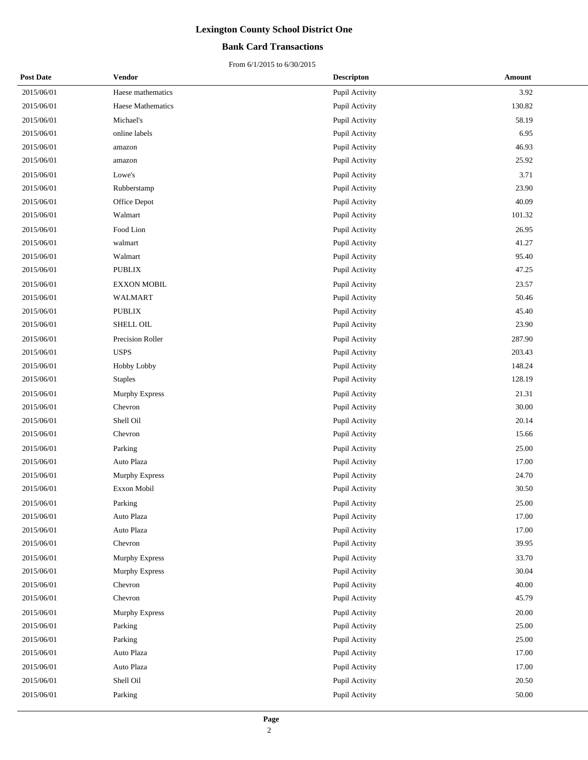### **Bank Card Transactions**

| <b>Post Date</b> | Vendor                | <b>Descripton</b> | Amount |
|------------------|-----------------------|-------------------|--------|
| 2015/06/01       | Haese mathematics     | Pupil Activity    | 3.92   |
| 2015/06/01       | Haese Mathematics     | Pupil Activity    | 130.82 |
| 2015/06/01       | Michael's             | Pupil Activity    | 58.19  |
| 2015/06/01       | online labels         | Pupil Activity    | 6.95   |
| 2015/06/01       | amazon                | Pupil Activity    | 46.93  |
| 2015/06/01       | amazon                | Pupil Activity    | 25.92  |
| 2015/06/01       | Lowe's                | Pupil Activity    | 3.71   |
| 2015/06/01       | Rubberstamp           | Pupil Activity    | 23.90  |
| 2015/06/01       | Office Depot          | Pupil Activity    | 40.09  |
| 2015/06/01       | Walmart               | Pupil Activity    | 101.32 |
| 2015/06/01       | Food Lion             | Pupil Activity    | 26.95  |
| 2015/06/01       | walmart               | Pupil Activity    | 41.27  |
| 2015/06/01       | Walmart               | Pupil Activity    | 95.40  |
| 2015/06/01       | <b>PUBLIX</b>         | Pupil Activity    | 47.25  |
| 2015/06/01       | <b>EXXON MOBIL</b>    | Pupil Activity    | 23.57  |
| 2015/06/01       | <b>WALMART</b>        | Pupil Activity    | 50.46  |
| 2015/06/01       | <b>PUBLIX</b>         | Pupil Activity    | 45.40  |
| 2015/06/01       | SHELL OIL             | Pupil Activity    | 23.90  |
| 2015/06/01       | Precision Roller      | Pupil Activity    | 287.90 |
| 2015/06/01       | <b>USPS</b>           | Pupil Activity    | 203.43 |
| 2015/06/01       | Hobby Lobby           | Pupil Activity    | 148.24 |
| 2015/06/01       | <b>Staples</b>        | Pupil Activity    | 128.19 |
| 2015/06/01       | Murphy Express        | Pupil Activity    | 21.31  |
| 2015/06/01       | Chevron               | Pupil Activity    | 30.00  |
| 2015/06/01       | Shell Oil             | Pupil Activity    | 20.14  |
| 2015/06/01       | Chevron               | Pupil Activity    | 15.66  |
| 2015/06/01       | Parking               | Pupil Activity    | 25.00  |
| 2015/06/01       | Auto Plaza            | Pupil Activity    | 17.00  |
| 2015/06/01       | Murphy Express        | Pupil Activity    | 24.70  |
| 2015/06/01       | Exxon Mobil           | Pupil Activity    | 30.50  |
| 2015/06/01       | Parking               | Pupil Activity    | 25.00  |
| 2015/06/01       | Auto Plaza            | Pupil Activity    | 17.00  |
| 2015/06/01       | Auto Plaza            | Pupil Activity    | 17.00  |
| 2015/06/01       | Chevron               | Pupil Activity    | 39.95  |
| 2015/06/01       | <b>Murphy Express</b> | Pupil Activity    | 33.70  |
| 2015/06/01       | Murphy Express        | Pupil Activity    | 30.04  |
| 2015/06/01       | Chevron               | Pupil Activity    | 40.00  |
| 2015/06/01       | Chevron               | Pupil Activity    | 45.79  |
| 2015/06/01       | <b>Murphy Express</b> | Pupil Activity    | 20.00  |
| 2015/06/01       | Parking               | Pupil Activity    | 25.00  |
| 2015/06/01       | Parking               | Pupil Activity    | 25.00  |
| 2015/06/01       | Auto Plaza            | Pupil Activity    | 17.00  |
| 2015/06/01       | Auto Plaza            | Pupil Activity    | 17.00  |
| 2015/06/01       | Shell Oil             | Pupil Activity    | 20.50  |
| 2015/06/01       | Parking               | Pupil Activity    | 50.00  |
|                  |                       |                   |        |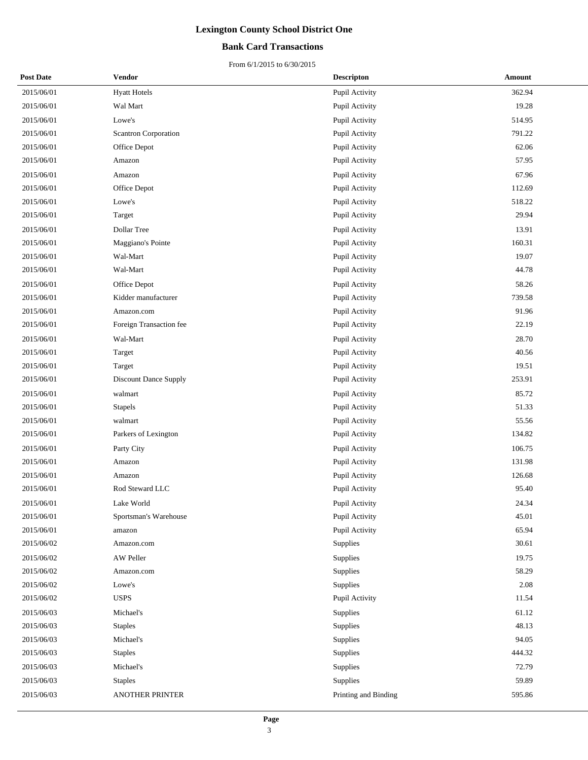### **Bank Card Transactions**

| <b>Post Date</b> | Vendor                       | <b>Descripton</b>    | Amount |
|------------------|------------------------------|----------------------|--------|
| 2015/06/01       | <b>Hyatt Hotels</b>          | Pupil Activity       | 362.94 |
| 2015/06/01       | Wal Mart                     | Pupil Activity       | 19.28  |
| 2015/06/01       | Lowe's                       | Pupil Activity       | 514.95 |
| 2015/06/01       | <b>Scantron Corporation</b>  | Pupil Activity       | 791.22 |
| 2015/06/01       | Office Depot                 | Pupil Activity       | 62.06  |
| 2015/06/01       | Amazon                       | Pupil Activity       | 57.95  |
| 2015/06/01       | Amazon                       | Pupil Activity       | 67.96  |
| 2015/06/01       | Office Depot                 | Pupil Activity       | 112.69 |
| 2015/06/01       | Lowe's                       | Pupil Activity       | 518.22 |
| 2015/06/01       | Target                       | Pupil Activity       | 29.94  |
| 2015/06/01       | Dollar Tree                  | Pupil Activity       | 13.91  |
| 2015/06/01       | Maggiano's Pointe            | Pupil Activity       | 160.31 |
| 2015/06/01       | Wal-Mart                     | Pupil Activity       | 19.07  |
| 2015/06/01       | Wal-Mart                     | Pupil Activity       | 44.78  |
| 2015/06/01       | Office Depot                 | Pupil Activity       | 58.26  |
| 2015/06/01       | Kidder manufacturer          | Pupil Activity       | 739.58 |
| 2015/06/01       | Amazon.com                   | Pupil Activity       | 91.96  |
| 2015/06/01       | Foreign Transaction fee      | Pupil Activity       | 22.19  |
| 2015/06/01       | Wal-Mart                     | Pupil Activity       | 28.70  |
| 2015/06/01       | Target                       | Pupil Activity       | 40.56  |
| 2015/06/01       | Target                       | Pupil Activity       | 19.51  |
| 2015/06/01       | <b>Discount Dance Supply</b> | Pupil Activity       | 253.91 |
| 2015/06/01       | walmart                      | Pupil Activity       | 85.72  |
| 2015/06/01       | Stapels                      | Pupil Activity       | 51.33  |
| 2015/06/01       | walmart                      | Pupil Activity       | 55.56  |
| 2015/06/01       | Parkers of Lexington         | Pupil Activity       | 134.82 |
| 2015/06/01       | Party City                   | Pupil Activity       | 106.75 |
| 2015/06/01       | Amazon                       | Pupil Activity       | 131.98 |
| 2015/06/01       | Amazon                       | Pupil Activity       | 126.68 |
| 2015/06/01       | Rod Steward LLC              | Pupil Activity       | 95.40  |
| 2015/06/01       | Lake World                   | Pupil Activity       | 24.34  |
| 2015/06/01       | Sportsman's Warehouse        | Pupil Activity       | 45.01  |
| 2015/06/01       | amazon                       | Pupil Activity       | 65.94  |
| 2015/06/02       | Amazon.com                   | Supplies             | 30.61  |
| 2015/06/02       | AW Peller                    | Supplies             | 19.75  |
| 2015/06/02       | Amazon.com                   | Supplies             | 58.29  |
| 2015/06/02       | Lowe's                       | Supplies             | 2.08   |
| 2015/06/02       | <b>USPS</b>                  | Pupil Activity       | 11.54  |
| 2015/06/03       | Michael's                    | Supplies             | 61.12  |
| 2015/06/03       | <b>Staples</b>               | Supplies             | 48.13  |
| 2015/06/03       | Michael's                    | Supplies             | 94.05  |
| 2015/06/03       | <b>Staples</b>               | Supplies             | 444.32 |
| 2015/06/03       | Michael's                    | Supplies             | 72.79  |
| 2015/06/03       | <b>Staples</b>               | Supplies             | 59.89  |
| 2015/06/03       | ANOTHER PRINTER              | Printing and Binding | 595.86 |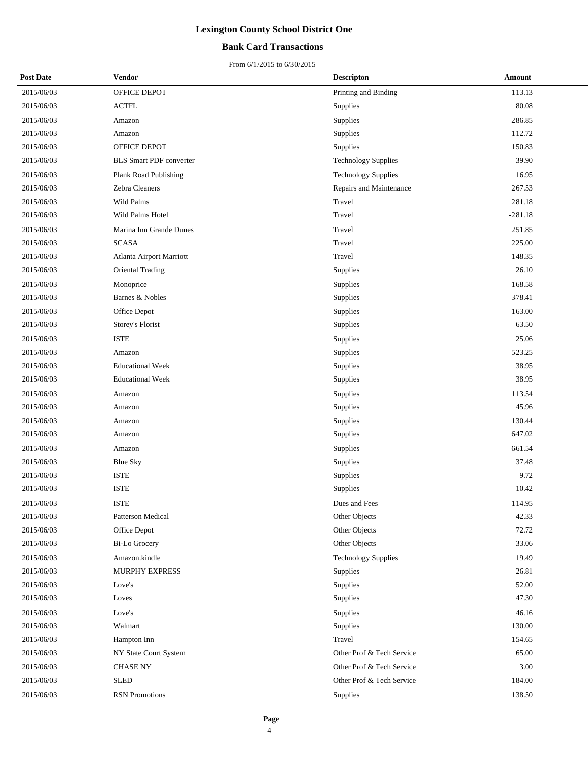### **Bank Card Transactions**

| <b>Post Date</b> | Vendor                         | <b>Descripton</b>          | Amount    |
|------------------|--------------------------------|----------------------------|-----------|
| 2015/06/03       | OFFICE DEPOT                   | Printing and Binding       | 113.13    |
| 2015/06/03       | $\operatorname{ACTFL}$         | Supplies                   | 80.08     |
| 2015/06/03       | Amazon                         | Supplies                   | 286.85    |
| 2015/06/03       | Amazon                         | Supplies                   | 112.72    |
| 2015/06/03       | OFFICE DEPOT                   | Supplies                   | 150.83    |
| 2015/06/03       | <b>BLS Smart PDF converter</b> | <b>Technology Supplies</b> | 39.90     |
| 2015/06/03       | Plank Road Publishing          | <b>Technology Supplies</b> | 16.95     |
| 2015/06/03       | Zebra Cleaners                 | Repairs and Maintenance    | 267.53    |
| 2015/06/03       | Wild Palms                     | Travel                     | 281.18    |
| 2015/06/03       | Wild Palms Hotel               | Travel                     | $-281.18$ |
| 2015/06/03       | Marina Inn Grande Dunes        | Travel                     | 251.85    |
| 2015/06/03       | <b>SCASA</b>                   | Travel                     | 225.00    |
| 2015/06/03       | Atlanta Airport Marriott       | Travel                     | 148.35    |
| 2015/06/03       | Oriental Trading               | Supplies                   | 26.10     |
| 2015/06/03       | Monoprice                      | Supplies                   | 168.58    |
| 2015/06/03       | Barnes & Nobles                | Supplies                   | 378.41    |
| 2015/06/03       | Office Depot                   | Supplies                   | 163.00    |
| 2015/06/03       | Storey's Florist               | Supplies                   | 63.50     |
| 2015/06/03       | <b>ISTE</b>                    | Supplies                   | 25.06     |
| 2015/06/03       | Amazon                         | Supplies                   | 523.25    |
| 2015/06/03       | <b>Educational Week</b>        | Supplies                   | 38.95     |
| 2015/06/03       | <b>Educational Week</b>        | Supplies                   | 38.95     |
| 2015/06/03       | Amazon                         | Supplies                   | 113.54    |
| 2015/06/03       | Amazon                         | Supplies                   | 45.96     |
| 2015/06/03       | Amazon                         | Supplies                   | 130.44    |
| 2015/06/03       | Amazon                         | Supplies                   | 647.02    |
| 2015/06/03       | Amazon                         | Supplies                   | 661.54    |
| 2015/06/03       | <b>Blue Sky</b>                | Supplies                   | 37.48     |
| 2015/06/03       | <b>ISTE</b>                    | Supplies                   | 9.72      |
| 2015/06/03       | <b>ISTE</b>                    | Supplies                   | 10.42     |
| 2015/06/03       | <b>ISTE</b>                    | Dues and Fees              | 114.95    |
| 2015/06/03       | Patterson Medical              | Other Objects              | 42.33     |
| 2015/06/03       | Office Depot                   | Other Objects              | 72.72     |
| 2015/06/03       | <b>Bi-Lo Grocery</b>           | Other Objects              | 33.06     |
| 2015/06/03       | Amazon.kindle                  | <b>Technology Supplies</b> | 19.49     |
| 2015/06/03       | MURPHY EXPRESS                 | Supplies                   | 26.81     |
| 2015/06/03       | Love's                         | Supplies                   | 52.00     |
| 2015/06/03       | Loves                          | Supplies                   | 47.30     |
| 2015/06/03       | Love's                         | Supplies                   | 46.16     |
| 2015/06/03       | Walmart                        | Supplies                   | 130.00    |
| 2015/06/03       | Hampton Inn                    | Travel                     | 154.65    |
| 2015/06/03       | NY State Court System          | Other Prof & Tech Service  | 65.00     |
| 2015/06/03       | <b>CHASE NY</b>                | Other Prof & Tech Service  | 3.00      |
| 2015/06/03       | <b>SLED</b>                    | Other Prof & Tech Service  | 184.00    |
| 2015/06/03       | <b>RSN</b> Promotions          | Supplies                   | 138.50    |
|                  |                                |                            |           |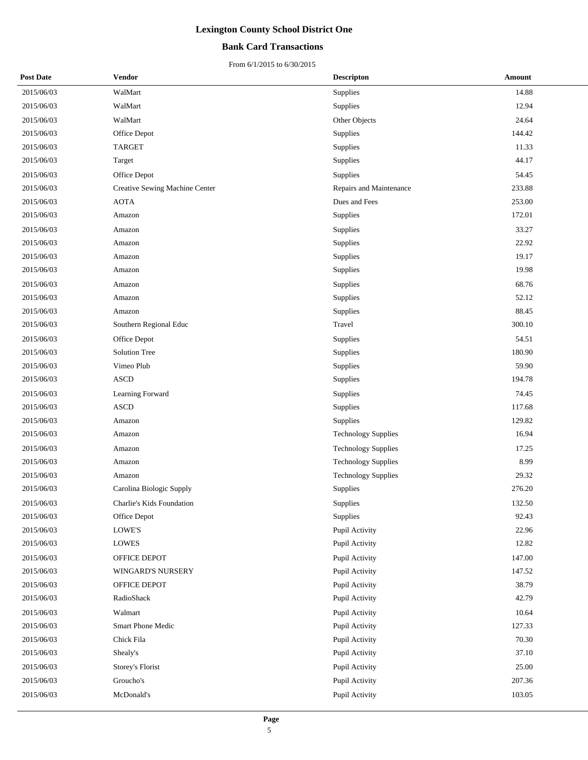### **Bank Card Transactions**

| <b>Post Date</b> | Vendor                           | <b>Descripton</b>          | Amount |
|------------------|----------------------------------|----------------------------|--------|
| 2015/06/03       | WalMart                          | <b>Supplies</b>            | 14.88  |
| 2015/06/03       | WalMart                          | Supplies                   | 12.94  |
| 2015/06/03       | WalMart                          | Other Objects              | 24.64  |
| 2015/06/03       | Office Depot                     | Supplies                   | 144.42 |
| 2015/06/03       | <b>TARGET</b>                    | Supplies                   | 11.33  |
| 2015/06/03       | Target                           | Supplies                   | 44.17  |
| 2015/06/03       | Office Depot                     | Supplies                   | 54.45  |
| 2015/06/03       | Creative Sewing Machine Center   | Repairs and Maintenance    | 233.88 |
| 2015/06/03       | <b>AOTA</b>                      | Dues and Fees              | 253.00 |
| 2015/06/03       | Amazon                           | Supplies                   | 172.01 |
| 2015/06/03       | Amazon                           | Supplies                   | 33.27  |
| 2015/06/03       | Amazon                           | Supplies                   | 22.92  |
| 2015/06/03       | Amazon                           | Supplies                   | 19.17  |
| 2015/06/03       | Amazon                           | Supplies                   | 19.98  |
| 2015/06/03       | Amazon                           | Supplies                   | 68.76  |
| 2015/06/03       | Amazon                           | Supplies                   | 52.12  |
| 2015/06/03       | Amazon                           | Supplies                   | 88.45  |
| 2015/06/03       | Southern Regional Educ           | Travel                     | 300.10 |
| 2015/06/03       | Office Depot                     | Supplies                   | 54.51  |
| 2015/06/03       | <b>Solution Tree</b>             | Supplies                   | 180.90 |
| 2015/06/03       | Vimeo Plub                       | <b>Supplies</b>            | 59.90  |
| 2015/06/03       | <b>ASCD</b>                      | Supplies                   | 194.78 |
| 2015/06/03       | Learning Forward                 | Supplies                   | 74.45  |
| 2015/06/03       | <b>ASCD</b>                      | Supplies                   | 117.68 |
| 2015/06/03       | Amazon                           | <b>Supplies</b>            | 129.82 |
| 2015/06/03       | Amazon                           | <b>Technology Supplies</b> | 16.94  |
| 2015/06/03       | Amazon                           | <b>Technology Supplies</b> | 17.25  |
| 2015/06/03       | Amazon                           | <b>Technology Supplies</b> | 8.99   |
| 2015/06/03       | Amazon                           | <b>Technology Supplies</b> | 29.32  |
| 2015/06/03       | Carolina Biologic Supply         | Supplies                   | 276.20 |
| 2015/06/03       | <b>Charlie's Kids Foundation</b> | Supplies                   | 132.50 |
| 2015/06/03       | Office Depot                     | Supplies                   | 92.43  |
| 2015/06/03       | $\operatorname{LOWE'S}$          | Pupil Activity             | 22.96  |
| 2015/06/03       | LOWES                            | Pupil Activity             | 12.82  |
| 2015/06/03       | OFFICE DEPOT                     | Pupil Activity             | 147.00 |
| 2015/06/03       | WINGARD'S NURSERY                | Pupil Activity             | 147.52 |
| 2015/06/03       | OFFICE DEPOT                     | Pupil Activity             | 38.79  |
| 2015/06/03       | RadioShack                       | Pupil Activity             | 42.79  |
| 2015/06/03       | Walmart                          | Pupil Activity             | 10.64  |
| 2015/06/03       | Smart Phone Medic                | Pupil Activity             | 127.33 |
| 2015/06/03       | Chick Fila                       | Pupil Activity             | 70.30  |
| 2015/06/03       | Shealy's                         | Pupil Activity             | 37.10  |
| 2015/06/03       | Storey's Florist                 | Pupil Activity             | 25.00  |
| 2015/06/03       | Groucho's                        | Pupil Activity             | 207.36 |
| 2015/06/03       | McDonald's                       | Pupil Activity             | 103.05 |
|                  |                                  |                            |        |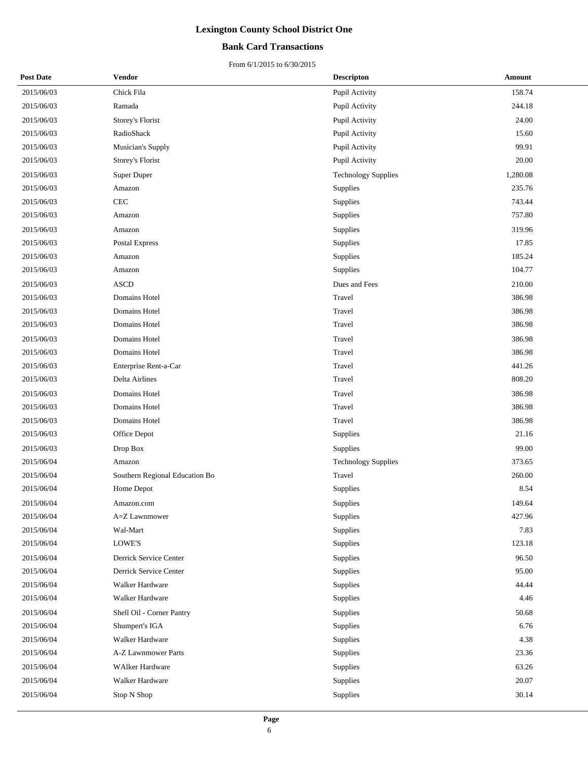### **Bank Card Transactions**

| <b>Post Date</b> | Vendor                         | <b>Descripton</b>          | <b>Amount</b> |
|------------------|--------------------------------|----------------------------|---------------|
| 2015/06/03       | Chick Fila                     | Pupil Activity             | 158.74        |
| 2015/06/03       | Ramada                         | Pupil Activity             | 244.18        |
| 2015/06/03       | Storey's Florist               | Pupil Activity             | 24.00         |
| 2015/06/03       | RadioShack                     | Pupil Activity             | 15.60         |
| 2015/06/03       | Musician's Supply              | Pupil Activity             | 99.91         |
| 2015/06/03       | Storey's Florist               | Pupil Activity             | 20.00         |
| 2015/06/03       | Super Duper                    | <b>Technology Supplies</b> | 1,280.08      |
| 2015/06/03       | Amazon                         | Supplies                   | 235.76        |
| 2015/06/03       | CEC                            | Supplies                   | 743.44        |
| 2015/06/03       | Amazon                         | Supplies                   | 757.80        |
| 2015/06/03       | Amazon                         | Supplies                   | 319.96        |
| 2015/06/03       | Postal Express                 | Supplies                   | 17.85         |
| 2015/06/03       | Amazon                         | Supplies                   | 185.24        |
| 2015/06/03       | Amazon                         | Supplies                   | 104.77        |
| 2015/06/03       | <b>ASCD</b>                    | Dues and Fees              | 210.00        |
| 2015/06/03       | Domains Hotel                  | Travel                     | 386.98        |
| 2015/06/03       | Domains Hotel                  | Travel                     | 386.98        |
| 2015/06/03       | Domains Hotel                  | Travel                     | 386.98        |
| 2015/06/03       | Domains Hotel                  | Travel                     | 386.98        |
| 2015/06/03       | Domains Hotel                  | Travel                     | 386.98        |
| 2015/06/03       | Enterprise Rent-a-Car          | Travel                     | 441.26        |
| 2015/06/03       | Delta Airlines                 | Travel                     | 808.20        |
| 2015/06/03       | Domains Hotel                  | Travel                     | 386.98        |
| 2015/06/03       | Domains Hotel                  | Travel                     | 386.98        |
| 2015/06/03       | Domains Hotel                  | Travel                     | 386.98        |
| 2015/06/03       | Office Depot                   | Supplies                   | 21.16         |
| 2015/06/03       | Drop Box                       | Supplies                   | 99.00         |
| 2015/06/04       | Amazon                         | <b>Technology Supplies</b> | 373.65        |
| 2015/06/04       | Southern Regional Education Bo | Travel                     | 260.00        |
| 2015/06/04       | Home Depot                     | Supplies                   | 8.54          |
| 2015/06/04       | Amazon.com                     | Supplies                   | 149.64        |
| 2015/06/04       | A=Z Lawnmower                  | Supplies                   | 427.96        |
| 2015/06/04       | Wal-Mart                       | Supplies                   | 7.83          |
| 2015/06/04       | LOWE'S                         | Supplies                   | 123.18        |
| 2015/06/04       | Derrick Service Center         | Supplies                   | 96.50         |
| 2015/06/04       | Derrick Service Center         | Supplies                   | 95.00         |
| 2015/06/04       | Walker Hardware                | Supplies                   | 44.44         |
| 2015/06/04       | Walker Hardware                | Supplies                   | 4.46          |
| 2015/06/04       | Shell Oil - Corner Pantry      | Supplies                   | 50.68         |
| 2015/06/04       | Shumpert's IGA                 | Supplies                   | 6.76          |
| 2015/06/04       | Walker Hardware                | Supplies                   | 4.38          |
| 2015/06/04       | A-Z Lawnmower Parts            | Supplies                   | 23.36         |
| 2015/06/04       | <b>WAlker Hardware</b>         | Supplies                   | 63.26         |
| 2015/06/04       | Walker Hardware                | Supplies                   | 20.07         |
| 2015/06/04       | Stop N Shop                    | Supplies                   | 30.14         |
|                  |                                |                            |               |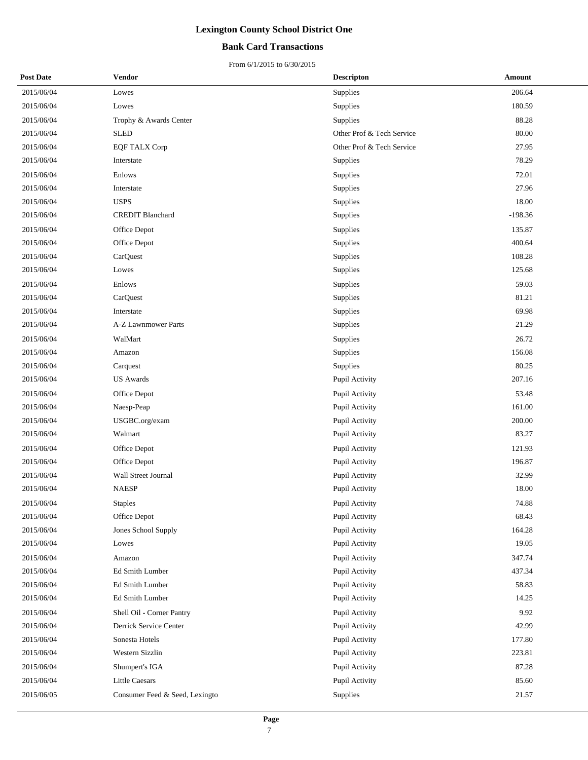### **Bank Card Transactions**

| <b>Post Date</b> | <b>Vendor</b>                  | <b>Descripton</b>         | Amount    |
|------------------|--------------------------------|---------------------------|-----------|
| 2015/06/04       | Lowes                          | Supplies                  | 206.64    |
| 2015/06/04       | Lowes                          | Supplies                  | 180.59    |
| 2015/06/04       | Trophy & Awards Center         | Supplies                  | 88.28     |
| 2015/06/04       | <b>SLED</b>                    | Other Prof & Tech Service | 80.00     |
| 2015/06/04       | <b>EQF TALX Corp</b>           | Other Prof & Tech Service | 27.95     |
| 2015/06/04       | Interstate                     | Supplies                  | 78.29     |
| 2015/06/04       | Enlows                         | Supplies                  | 72.01     |
| 2015/06/04       | Interstate                     | Supplies                  | 27.96     |
| 2015/06/04       | <b>USPS</b>                    | Supplies                  | 18.00     |
| 2015/06/04       | <b>CREDIT Blanchard</b>        | Supplies                  | $-198.36$ |
| 2015/06/04       | Office Depot                   | Supplies                  | 135.87    |
| 2015/06/04       | Office Depot                   | Supplies                  | 400.64    |
| 2015/06/04       | CarQuest                       | Supplies                  | 108.28    |
| 2015/06/04       | Lowes                          | Supplies                  | 125.68    |
| 2015/06/04       | Enlows                         | Supplies                  | 59.03     |
| 2015/06/04       | CarQuest                       | Supplies                  | 81.21     |
| 2015/06/04       | Interstate                     | Supplies                  | 69.98     |
| 2015/06/04       | A-Z Lawnmower Parts            | Supplies                  | 21.29     |
| 2015/06/04       | WalMart                        | Supplies                  | 26.72     |
| 2015/06/04       | Amazon                         | Supplies                  | 156.08    |
| 2015/06/04       | Carquest                       | Supplies                  | 80.25     |
| 2015/06/04       | <b>US</b> Awards               | Pupil Activity            | 207.16    |
| 2015/06/04       | Office Depot                   | Pupil Activity            | 53.48     |
| 2015/06/04       | Naesp-Peap                     | Pupil Activity            | 161.00    |
| 2015/06/04       | USGBC.org/exam                 | Pupil Activity            | 200.00    |
| 2015/06/04       | Walmart                        | Pupil Activity            | 83.27     |
| 2015/06/04       | Office Depot                   | Pupil Activity            | 121.93    |
| 2015/06/04       | Office Depot                   | Pupil Activity            | 196.87    |
| 2015/06/04       | Wall Street Journal            | Pupil Activity            | 32.99     |
| 2015/06/04       | <b>NAESP</b>                   | Pupil Activity            | 18.00     |
| 2015/06/04       | <b>Staples</b>                 | Pupil Activity            | 74.88     |
| 2015/06/04       | Office Depot                   | Pupil Activity            | 68.43     |
| 2015/06/04       | Jones School Supply            | Pupil Activity            | 164.28    |
| 2015/06/04       | Lowes                          | Pupil Activity            | 19.05     |
| 2015/06/04       | Amazon                         | Pupil Activity            | 347.74    |
| 2015/06/04       | Ed Smith Lumber                | Pupil Activity            | 437.34    |
| 2015/06/04       | Ed Smith Lumber                | Pupil Activity            | 58.83     |
| 2015/06/04       | Ed Smith Lumber                | Pupil Activity            | 14.25     |
| 2015/06/04       | Shell Oil - Corner Pantry      | Pupil Activity            | 9.92      |
| 2015/06/04       | Derrick Service Center         | Pupil Activity            | 42.99     |
| 2015/06/04       | Sonesta Hotels                 | Pupil Activity            | 177.80    |
| 2015/06/04       | Western Sizzlin                | Pupil Activity            | 223.81    |
| 2015/06/04       | Shumpert's IGA                 | Pupil Activity            | 87.28     |
| 2015/06/04       | <b>Little Caesars</b>          | Pupil Activity            | 85.60     |
| 2015/06/05       | Consumer Feed & Seed, Lexingto | Supplies                  | 21.57     |
|                  |                                |                           |           |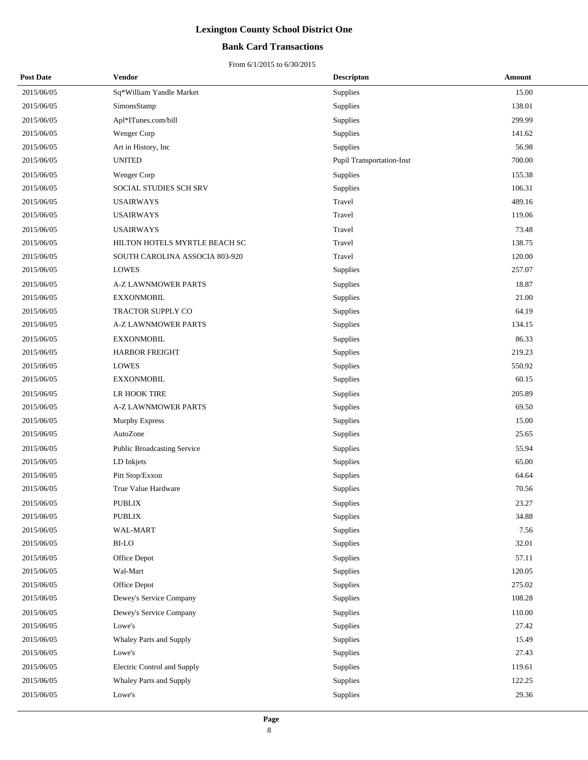### **Bank Card Transactions**

| <b>Post Date</b> | Vendor                             | <b>Descripton</b>         | Amount |
|------------------|------------------------------------|---------------------------|--------|
| 2015/06/05       | Sq*William Yandle Market           | Supplies                  | 15.00  |
| 2015/06/05       | SimonsStamp                        | Supplies                  | 138.01 |
| 2015/06/05       | Apl*ITunes.com/bill                | Supplies                  | 299.99 |
| 2015/06/05       | Wenger Corp                        | Supplies                  | 141.62 |
| 2015/06/05       | Art in History, Inc                | Supplies                  | 56.98  |
| 2015/06/05       | <b>UNITED</b>                      | Pupil Transportation-Inst | 700.00 |
| 2015/06/05       | Wenger Corp                        | Supplies                  | 155.38 |
| 2015/06/05       | SOCIAL STUDIES SCH SRV             | Supplies                  | 106.31 |
| 2015/06/05       | <b>USAIRWAYS</b>                   | Travel                    | 489.16 |
| 2015/06/05       | <b>USAIRWAYS</b>                   | Travel                    | 119.06 |
| 2015/06/05       | <b>USAIRWAYS</b>                   | Travel                    | 73.48  |
| 2015/06/05       | HILTON HOTELS MYRTLE BEACH SC      | Travel                    | 138.75 |
| 2015/06/05       | SOUTH CAROLINA ASSOCIA 803-920     | Travel                    | 120.00 |
| 2015/06/05       | <b>LOWES</b>                       | Supplies                  | 257.07 |
| 2015/06/05       | <b>A-Z LAWNMOWER PARTS</b>         | Supplies                  | 18.87  |
| 2015/06/05       | <b>EXXONMOBIL</b>                  | Supplies                  | 21.00  |
| 2015/06/05       | TRACTOR SUPPLY CO                  | Supplies                  | 64.19  |
| 2015/06/05       | <b>A-Z LAWNMOWER PARTS</b>         | Supplies                  | 134.15 |
| 2015/06/05       | <b>EXXONMOBIL</b>                  | Supplies                  | 86.33  |
| 2015/06/05       | <b>HARBOR FREIGHT</b>              | Supplies                  | 219.23 |
| 2015/06/05       | <b>LOWES</b>                       | Supplies                  | 550.92 |
| 2015/06/05       | <b>EXXONMOBIL</b>                  | Supplies                  | 60.15  |
| 2015/06/05       | LR HOOK TIRE                       | Supplies                  | 205.89 |
| 2015/06/05       | <b>A-Z LAWNMOWER PARTS</b>         | Supplies                  | 69.50  |
| 2015/06/05       | <b>Murphy Express</b>              | Supplies                  | 15.00  |
| 2015/06/05       | AutoZone                           | Supplies                  | 25.65  |
| 2015/06/05       | <b>Public Broadcasting Service</b> | Supplies                  | 55.94  |
| 2015/06/05       | LD Inkjets                         | Supplies                  | 65.00  |
| 2015/06/05       | Pitt Stop/Exxon                    | Supplies                  | 64.64  |
| 2015/06/05       | True Value Hardware                | Supplies                  | 70.56  |
| 2015/06/05       | PUBLIX                             | Supplies                  | 23.27  |
| 2015/06/05       | <b>PUBLIX</b>                      | Supplies                  | 34.88  |
| 2015/06/05       | WAL-MART                           | Supplies                  | 7.56   |
| 2015/06/05       | BI-LO                              | Supplies                  | 32.01  |
| 2015/06/05       | Office Depot                       | Supplies                  | 57.11  |
| 2015/06/05       | Wal-Mart                           | Supplies                  | 120.05 |
| 2015/06/05       | Office Depot                       | Supplies                  | 275.02 |
| 2015/06/05       | Dewey's Service Company            | Supplies                  | 108.28 |
| 2015/06/05       | Dewey's Service Company            | Supplies                  | 110.00 |
| 2015/06/05       | Lowe's                             | Supplies                  | 27.42  |
| 2015/06/05       | Whaley Parts and Supply            | Supplies                  | 15.49  |
| 2015/06/05       | Lowe's                             | Supplies                  | 27.43  |
| 2015/06/05       | Electric Control and Supply        | Supplies                  | 119.61 |
| 2015/06/05       | Whaley Parts and Supply            | Supplies                  | 122.25 |
| 2015/06/05       | Lowe's                             | Supplies                  | 29.36  |
|                  |                                    |                           |        |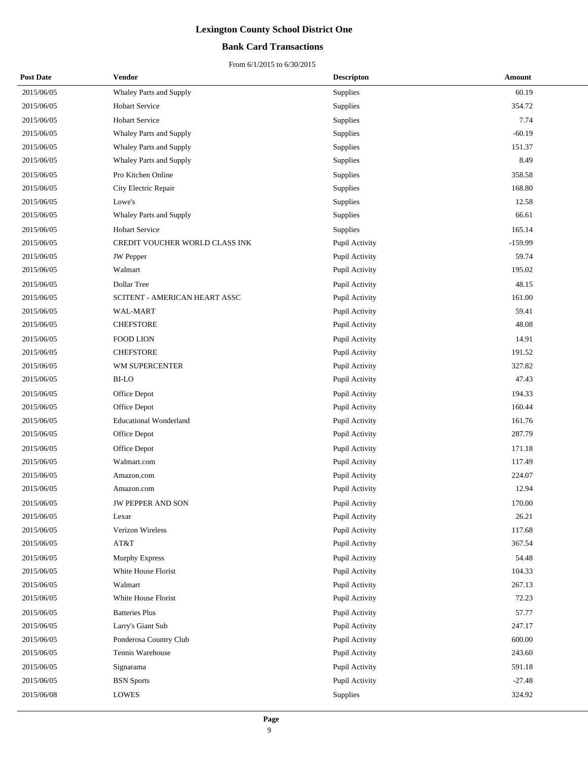### **Bank Card Transactions**

| <b>Post Date</b> | Vendor                         | <b>Descripton</b> | Amount    |
|------------------|--------------------------------|-------------------|-----------|
| 2015/06/05       | Whaley Parts and Supply        | Supplies          | 60.19     |
| 2015/06/05       | <b>Hobart Service</b>          | Supplies          | 354.72    |
| 2015/06/05       | <b>Hobart Service</b>          | Supplies          | 7.74      |
| 2015/06/05       | Whaley Parts and Supply        | Supplies          | $-60.19$  |
| 2015/06/05       | Whaley Parts and Supply        | Supplies          | 151.37    |
| 2015/06/05       | Whaley Parts and Supply        | Supplies          | 8.49      |
| 2015/06/05       | Pro Kitchen Online             | Supplies          | 358.58    |
| 2015/06/05       | City Electric Repair           | Supplies          | 168.80    |
| 2015/06/05       | Lowe's                         | Supplies          | 12.58     |
| 2015/06/05       | Whaley Parts and Supply        | Supplies          | 66.61     |
| 2015/06/05       | <b>Hobart Service</b>          | Supplies          | 165.14    |
| 2015/06/05       | CREDIT VOUCHER WORLD CLASS INK | Pupil Activity    | $-159.99$ |
| 2015/06/05       | <b>JW</b> Pepper               | Pupil Activity    | 59.74     |
| 2015/06/05       | Walmart                        | Pupil Activity    | 195.02    |
| 2015/06/05       | Dollar Tree                    | Pupil Activity    | 48.15     |
| 2015/06/05       | SCITENT - AMERICAN HEART ASSC  | Pupil Activity    | 161.00    |
| 2015/06/05       | WAL-MART                       | Pupil Activity    | 59.41     |
| 2015/06/05       | <b>CHEFSTORE</b>               | Pupil Activity    | 48.08     |
| 2015/06/05       | <b>FOOD LION</b>               | Pupil Activity    | 14.91     |
| 2015/06/05       | <b>CHEFSTORE</b>               | Pupil Activity    | 191.52    |
| 2015/06/05       | WM SUPERCENTER                 | Pupil Activity    | 327.82    |
| 2015/06/05       | BI-LO                          | Pupil Activity    | 47.43     |
| 2015/06/05       | Office Depot                   | Pupil Activity    | 194.33    |
| 2015/06/05       | Office Depot                   | Pupil Activity    | 160.44    |
| 2015/06/05       | <b>Educational Wonderland</b>  | Pupil Activity    | 161.76    |
| 2015/06/05       | Office Depot                   | Pupil Activity    | 287.79    |
| 2015/06/05       | Office Depot                   | Pupil Activity    | 171.18    |
| 2015/06/05       | Walmart.com                    | Pupil Activity    | 117.49    |
| 2015/06/05       | Amazon.com                     | Pupil Activity    | 224.07    |
| 2015/06/05       | Amazon.com                     | Pupil Activity    | 12.94     |
| 2015/06/05       | <b>JW PEPPER AND SON</b>       | Pupil Activity    | 170.00    |
| 2015/06/05       | Lexar                          | Pupil Activity    | 26.21     |
| 2015/06/05       | Verizon Wireless               | Pupil Activity    | 117.68    |
| 2015/06/05       | AT&T                           | Pupil Activity    | 367.54    |
| 2015/06/05       | <b>Murphy Express</b>          | Pupil Activity    | 54.48     |
| 2015/06/05       | White House Florist            | Pupil Activity    | 104.33    |
| 2015/06/05       | Walmart                        | Pupil Activity    | 267.13    |
| 2015/06/05       | White House Florist            | Pupil Activity    | 72.23     |
| 2015/06/05       | <b>Batteries Plus</b>          | Pupil Activity    | 57.77     |
| 2015/06/05       | Larry's Giant Sub              | Pupil Activity    | 247.17    |
| 2015/06/05       | Ponderosa Country Club         | Pupil Activity    | 600.00    |
| 2015/06/05       | Tennis Warehouse               | Pupil Activity    | 243.60    |
| 2015/06/05       | Signarama                      | Pupil Activity    | 591.18    |
| 2015/06/05       | <b>BSN</b> Sports              | Pupil Activity    | $-27.48$  |
| 2015/06/08       | <b>LOWES</b>                   | Supplies          | 324.92    |
|                  |                                |                   |           |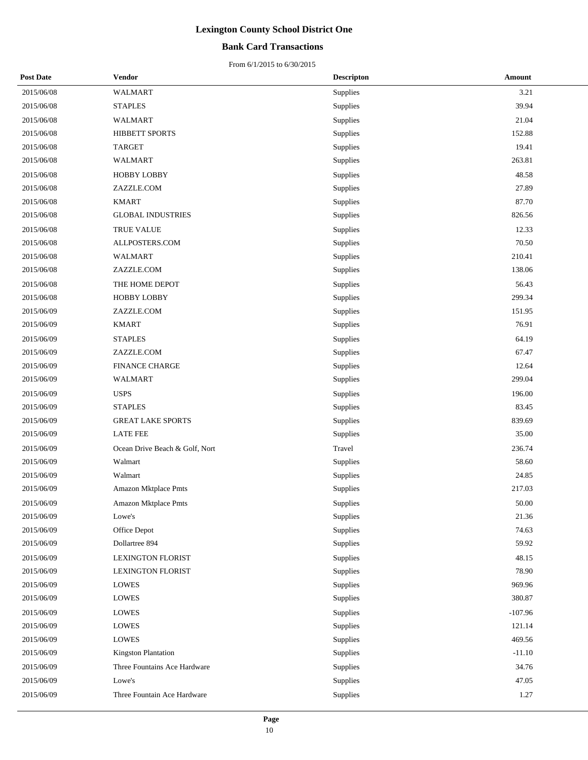### **Bank Card Transactions**

| <b>Post Date</b> | Vendor                         | <b>Descripton</b> | <b>Amount</b> |
|------------------|--------------------------------|-------------------|---------------|
| 2015/06/08       | <b>WALMART</b>                 | Supplies          | 3.21          |
| 2015/06/08       | <b>STAPLES</b>                 | Supplies          | 39.94         |
| 2015/06/08       | WALMART                        | Supplies          | 21.04         |
| 2015/06/08       | HIBBETT SPORTS                 | Supplies          | 152.88        |
| 2015/06/08       | <b>TARGET</b>                  | Supplies          | 19.41         |
| 2015/06/08       | WALMART                        | Supplies          | 263.81        |
| 2015/06/08       | <b>HOBBY LOBBY</b>             | Supplies          | 48.58         |
| 2015/06/08       | ZAZZLE.COM                     | Supplies          | 27.89         |
| 2015/06/08       | <b>KMART</b>                   | Supplies          | 87.70         |
| 2015/06/08       | <b>GLOBAL INDUSTRIES</b>       | Supplies          | 826.56        |
| 2015/06/08       | TRUE VALUE                     | Supplies          | 12.33         |
| 2015/06/08       | ALLPOSTERS.COM                 | Supplies          | 70.50         |
| 2015/06/08       | WALMART                        | Supplies          | 210.41        |
| 2015/06/08       | ZAZZLE.COM                     | Supplies          | 138.06        |
| 2015/06/08       | THE HOME DEPOT                 | Supplies          | 56.43         |
| 2015/06/08       | <b>HOBBY LOBBY</b>             | Supplies          | 299.34        |
| 2015/06/09       | ZAZZLE.COM                     | Supplies          | 151.95        |
| 2015/06/09       | <b>KMART</b>                   | Supplies          | 76.91         |
| 2015/06/09       | <b>STAPLES</b>                 | Supplies          | 64.19         |
| 2015/06/09       | ZAZZLE.COM                     | Supplies          | 67.47         |
| 2015/06/09       | <b>FINANCE CHARGE</b>          | Supplies          | 12.64         |
| 2015/06/09       | WALMART                        | Supplies          | 299.04        |
| 2015/06/09       | <b>USPS</b>                    | Supplies          | 196.00        |
| 2015/06/09       | <b>STAPLES</b>                 | Supplies          | 83.45         |
| 2015/06/09       | <b>GREAT LAKE SPORTS</b>       | Supplies          | 839.69        |
| 2015/06/09       | <b>LATE FEE</b>                | Supplies          | 35.00         |
| 2015/06/09       | Ocean Drive Beach & Golf, Nort | Travel            | 236.74        |
| 2015/06/09       | Walmart                        | Supplies          | 58.60         |
| 2015/06/09       | Walmart                        | Supplies          | 24.85         |
| 2015/06/09       | <b>Amazon Mktplace Pmts</b>    | Supplies          | 217.03        |
| 2015/06/09       | Amazon Mktplace Pmts           | Supplies          | 50.00         |
| 2015/06/09       | Lowe's                         | Supplies          | 21.36         |
| 2015/06/09       | Office Depot                   | Supplies          | 74.63         |
| 2015/06/09       | Dollartree 894                 | Supplies          | 59.92         |
| 2015/06/09       | <b>LEXINGTON FLORIST</b>       | Supplies          | 48.15         |
| 2015/06/09       | <b>LEXINGTON FLORIST</b>       | Supplies          | 78.90         |
| 2015/06/09       | <b>LOWES</b>                   | Supplies          | 969.96        |
| 2015/06/09       | <b>LOWES</b>                   | Supplies          | 380.87        |
| 2015/06/09       | <b>LOWES</b>                   | Supplies          | $-107.96$     |
| 2015/06/09       | <b>LOWES</b>                   | Supplies          | 121.14        |
| 2015/06/09       | <b>LOWES</b>                   | Supplies          | 469.56        |
| 2015/06/09       | Kingston Plantation            | Supplies          | $-11.10$      |
| 2015/06/09       | Three Fountains Ace Hardware   | Supplies          | 34.76         |
| 2015/06/09       | Lowe's                         | Supplies          | 47.05         |
| 2015/06/09       | Three Fountain Ace Hardware    | Supplies          | 1.27          |
|                  |                                |                   |               |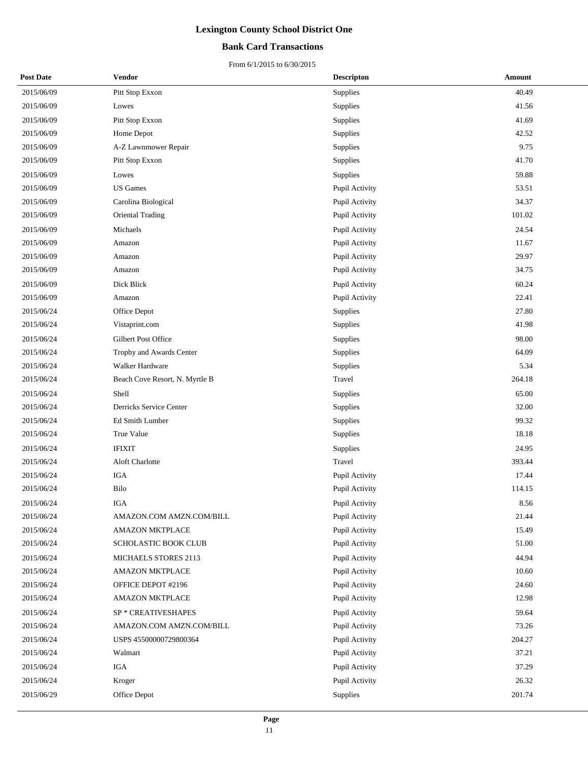### **Bank Card Transactions**

| <b>Post Date</b> | <b>Vendor</b>                  | <b>Descripton</b> | Amount |
|------------------|--------------------------------|-------------------|--------|
| 2015/06/09       | Pitt Stop Exxon                | Supplies          | 40.49  |
| 2015/06/09       | Lowes                          | Supplies          | 41.56  |
| 2015/06/09       | Pitt Stop Exxon                | Supplies          | 41.69  |
| 2015/06/09       | Home Depot                     | Supplies          | 42.52  |
| 2015/06/09       | A-Z Lawnmower Repair           | Supplies          | 9.75   |
| 2015/06/09       | Pitt Stop Exxon                | Supplies          | 41.70  |
| 2015/06/09       | Lowes                          | Supplies          | 59.88  |
| 2015/06/09       | <b>US</b> Games                | Pupil Activity    | 53.51  |
| 2015/06/09       | Carolina Biological            | Pupil Activity    | 34.37  |
| 2015/06/09       | Oriental Trading               | Pupil Activity    | 101.02 |
| 2015/06/09       | Michaels                       | Pupil Activity    | 24.54  |
| 2015/06/09       | Amazon                         | Pupil Activity    | 11.67  |
| 2015/06/09       | Amazon                         | Pupil Activity    | 29.97  |
| 2015/06/09       | Amazon                         | Pupil Activity    | 34.75  |
| 2015/06/09       | Dick Blick                     | Pupil Activity    | 60.24  |
| 2015/06/09       | Amazon                         | Pupil Activity    | 22.41  |
| 2015/06/24       | Office Depot                   | Supplies          | 27.80  |
| 2015/06/24       | Vistaprint.com                 | Supplies          | 41.98  |
| 2015/06/24       | Gilbert Post Office            | Supplies          | 98.00  |
| 2015/06/24       | Trophy and Awards Center       | Supplies          | 64.09  |
| 2015/06/24       | Walker Hardware                | Supplies          | 5.34   |
| 2015/06/24       | Beach Cove Resort, N. Myrtle B | Travel            | 264.18 |
| 2015/06/24       | Shell                          | Supplies          | 65.00  |
| 2015/06/24       | Derricks Service Center        | Supplies          | 32.00  |
| 2015/06/24       | Ed Smith Lumber                | Supplies          | 99.32  |
| 2015/06/24       | True Value                     | Supplies          | 18.18  |
| 2015/06/24       | <b>IFIXIT</b>                  | Supplies          | 24.95  |
| 2015/06/24       | Aloft Charlotte                | Travel            | 393.44 |
| 2015/06/24       | <b>IGA</b>                     | Pupil Activity    | 17.44  |
| 2015/06/24       | Bilo                           | Pupil Activity    | 114.15 |
| 2015/06/24       | IGA                            | Pupil Activity    | 8.56   |
| 2015/06/24       | AMAZON.COM AMZN.COM/BILL       | Pupil Activity    | 21.44  |
| 2015/06/24       | AMAZON MKTPLACE                | Pupil Activity    | 15.49  |
| 2015/06/24       | SCHOLASTIC BOOK CLUB           | Pupil Activity    | 51.00  |
| 2015/06/24       | <b>MICHAELS STORES 2113</b>    | Pupil Activity    | 44.94  |
| 2015/06/24       | <b>AMAZON MKTPLACE</b>         | Pupil Activity    | 10.60  |
| 2015/06/24       | OFFICE DEPOT #2196             | Pupil Activity    | 24.60  |
| 2015/06/24       | <b>AMAZON MKTPLACE</b>         | Pupil Activity    | 12.98  |
| 2015/06/24       | SP * CREATIVESHAPES            | Pupil Activity    | 59.64  |
| 2015/06/24       | AMAZON.COM AMZN.COM/BILL       | Pupil Activity    | 73.26  |
| 2015/06/24       | USPS 45500000729800364         | Pupil Activity    | 204.27 |
| 2015/06/24       | Walmart                        | Pupil Activity    | 37.21  |
| 2015/06/24       | IGA                            | Pupil Activity    | 37.29  |
| 2015/06/24       | Kroger                         | Pupil Activity    | 26.32  |
| 2015/06/29       | Office Depot                   | Supplies          | 201.74 |
|                  |                                |                   |        |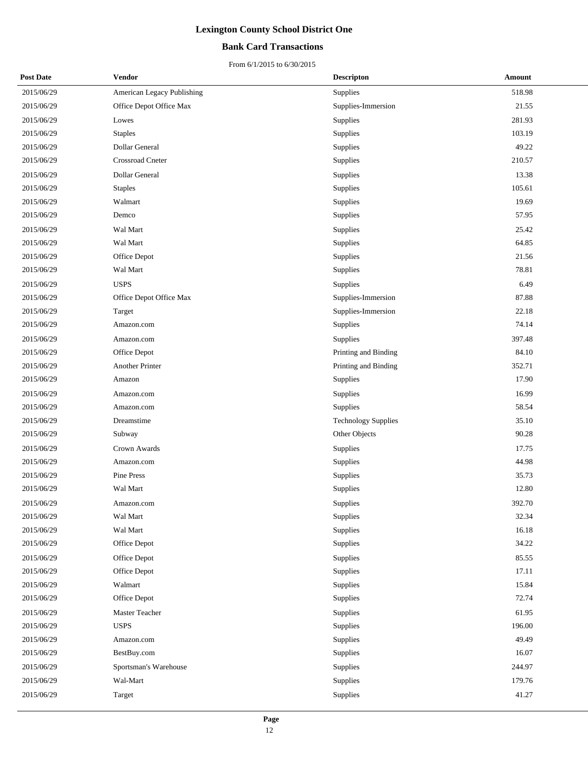### **Bank Card Transactions**

| <b>Post Date</b> | Vendor                     | <b>Descripton</b>          | Amount |
|------------------|----------------------------|----------------------------|--------|
| 2015/06/29       | American Legacy Publishing | Supplies                   | 518.98 |
| 2015/06/29       | Office Depot Office Max    | Supplies-Immersion         | 21.55  |
| 2015/06/29       | Lowes                      | Supplies                   | 281.93 |
| 2015/06/29       | <b>Staples</b>             | Supplies                   | 103.19 |
| 2015/06/29       | Dollar General             | Supplies                   | 49.22  |
| 2015/06/29       | Crossroad Cneter           | Supplies                   | 210.57 |
| 2015/06/29       | <b>Dollar General</b>      | Supplies                   | 13.38  |
| 2015/06/29       | <b>Staples</b>             | Supplies                   | 105.61 |
| 2015/06/29       | Walmart                    | Supplies                   | 19.69  |
| 2015/06/29       | Demco                      | Supplies                   | 57.95  |
| 2015/06/29       | Wal Mart                   | Supplies                   | 25.42  |
| 2015/06/29       | Wal Mart                   | Supplies                   | 64.85  |
| 2015/06/29       | Office Depot               | Supplies                   | 21.56  |
| 2015/06/29       | Wal Mart                   | Supplies                   | 78.81  |
| 2015/06/29       | <b>USPS</b>                | Supplies                   | 6.49   |
| 2015/06/29       | Office Depot Office Max    | Supplies-Immersion         | 87.88  |
| 2015/06/29       | Target                     | Supplies-Immersion         | 22.18  |
| 2015/06/29       | Amazon.com                 | Supplies                   | 74.14  |
| 2015/06/29       | Amazon.com                 | Supplies                   | 397.48 |
| 2015/06/29       | Office Depot               | Printing and Binding       | 84.10  |
| 2015/06/29       | <b>Another Printer</b>     | Printing and Binding       | 352.71 |
| 2015/06/29       | Amazon                     | Supplies                   | 17.90  |
| 2015/06/29       | Amazon.com                 | Supplies                   | 16.99  |
| 2015/06/29       | Amazon.com                 | Supplies                   | 58.54  |
| 2015/06/29       | Dreamstime                 | <b>Technology Supplies</b> | 35.10  |
| 2015/06/29       | Subway                     | Other Objects              | 90.28  |
| 2015/06/29       | Crown Awards               | Supplies                   | 17.75  |
| 2015/06/29       | Amazon.com                 | Supplies                   | 44.98  |
| 2015/06/29       | Pine Press                 | Supplies                   | 35.73  |
| 2015/06/29       | Wal Mart                   | Supplies                   | 12.80  |
| 2015/06/29       | Amazon.com                 | Supplies                   | 392.70 |
| 2015/06/29       | Wal Mart                   | Supplies                   | 32.34  |
| 2015/06/29       | Wal Mart                   | Supplies                   | 16.18  |
| 2015/06/29       | Office Depot               | Supplies                   | 34.22  |
| 2015/06/29       | Office Depot               | Supplies                   | 85.55  |
| 2015/06/29       | Office Depot               | Supplies                   | 17.11  |
| 2015/06/29       | Walmart                    | Supplies                   | 15.84  |
| 2015/06/29       | Office Depot               | Supplies                   | 72.74  |
| 2015/06/29       | Master Teacher             | Supplies                   | 61.95  |
| 2015/06/29       | <b>USPS</b>                | Supplies                   | 196.00 |
| 2015/06/29       | Amazon.com                 | Supplies                   | 49.49  |
| 2015/06/29       | BestBuy.com                | Supplies                   | 16.07  |
| 2015/06/29       | Sportsman's Warehouse      | Supplies                   | 244.97 |
| 2015/06/29       | Wal-Mart                   | Supplies                   | 179.76 |
| 2015/06/29       | Target                     | Supplies                   | 41.27  |
|                  |                            |                            |        |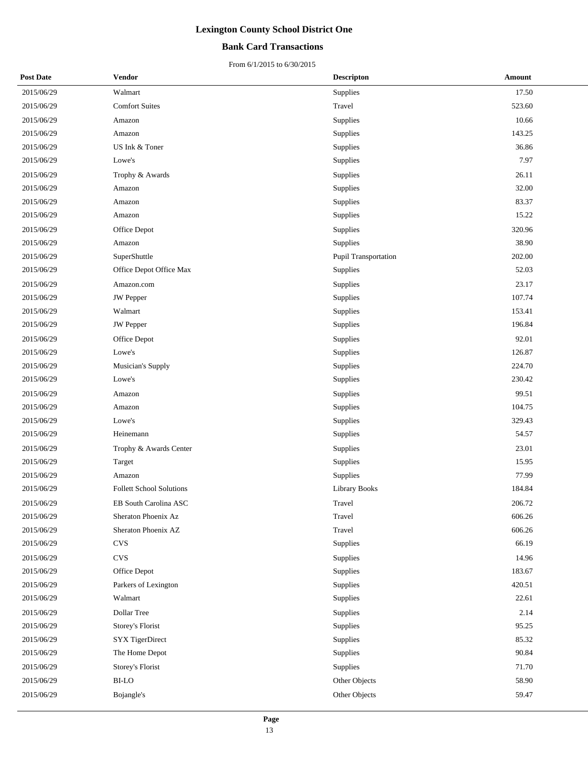### **Bank Card Transactions**

| <b>Post Date</b> | <b>Vendor</b>                   | <b>Descripton</b>    | Amount |
|------------------|---------------------------------|----------------------|--------|
| 2015/06/29       | Walmart                         | Supplies             | 17.50  |
| 2015/06/29       | <b>Comfort Suites</b>           | Travel               | 523.60 |
| 2015/06/29       | Amazon                          | Supplies             | 10.66  |
| 2015/06/29       | Amazon                          | Supplies             | 143.25 |
| 2015/06/29       | US Ink & Toner                  | Supplies             | 36.86  |
| 2015/06/29       | Lowe's                          | Supplies             | 7.97   |
| 2015/06/29       | Trophy & Awards                 | Supplies             | 26.11  |
| 2015/06/29       | Amazon                          | Supplies             | 32.00  |
| 2015/06/29       | Amazon                          | Supplies             | 83.37  |
| 2015/06/29       | Amazon                          | Supplies             | 15.22  |
| 2015/06/29       | Office Depot                    | Supplies             | 320.96 |
| 2015/06/29       | Amazon                          | Supplies             | 38.90  |
| 2015/06/29       | SuperShuttle                    | Pupil Transportation | 202.00 |
| 2015/06/29       | Office Depot Office Max         | Supplies             | 52.03  |
| 2015/06/29       | Amazon.com                      | Supplies             | 23.17  |
| 2015/06/29       | JW Pepper                       | Supplies             | 107.74 |
| 2015/06/29       | Walmart                         | Supplies             | 153.41 |
| 2015/06/29       | <b>JW</b> Pepper                | Supplies             | 196.84 |
| 2015/06/29       | Office Depot                    | Supplies             | 92.01  |
| 2015/06/29       | Lowe's                          | Supplies             | 126.87 |
| 2015/06/29       | Musician's Supply               | Supplies             | 224.70 |
| 2015/06/29       | Lowe's                          | Supplies             | 230.42 |
| 2015/06/29       | Amazon                          | Supplies             | 99.51  |
| 2015/06/29       | Amazon                          | Supplies             | 104.75 |
| 2015/06/29       | Lowe's                          | Supplies             | 329.43 |
| 2015/06/29       | Heinemann                       | Supplies             | 54.57  |
| 2015/06/29       | Trophy & Awards Center          | Supplies             | 23.01  |
| 2015/06/29       | Target                          | Supplies             | 15.95  |
| 2015/06/29       | Amazon                          | Supplies             | 77.99  |
| 2015/06/29       | <b>Follett School Solutions</b> | <b>Library Books</b> | 184.84 |
| 2015/06/29       | EB South Carolina ASC           | Travel               | 206.72 |
| 2015/06/29       | Sheraton Phoenix Az             | Travel               | 606.26 |
| 2015/06/29       | Sheraton Phoenix AZ             | Travel               | 606.26 |
| 2015/06/29       | $_{\mbox{\small\textsf{CVS}}}$  | Supplies             | 66.19  |
| 2015/06/29       | $_{\mbox{\small\textsf{CVS}}}$  | Supplies             | 14.96  |
| 2015/06/29       | Office Depot                    | Supplies             | 183.67 |
| 2015/06/29       | Parkers of Lexington            | Supplies             | 420.51 |
| 2015/06/29       | Walmart                         | Supplies             | 22.61  |
| 2015/06/29       | Dollar Tree                     | Supplies             | 2.14   |
| 2015/06/29       | Storey's Florist                | Supplies             | 95.25  |
| 2015/06/29       | SYX TigerDirect                 | Supplies             | 85.32  |
| 2015/06/29       | The Home Depot                  | Supplies             | 90.84  |
| 2015/06/29       | Storey's Florist                | Supplies             | 71.70  |
| 2015/06/29       | <b>BI-LO</b>                    | Other Objects        | 58.90  |
| 2015/06/29       | Bojangle's                      | Other Objects        | 59.47  |
|                  |                                 |                      |        |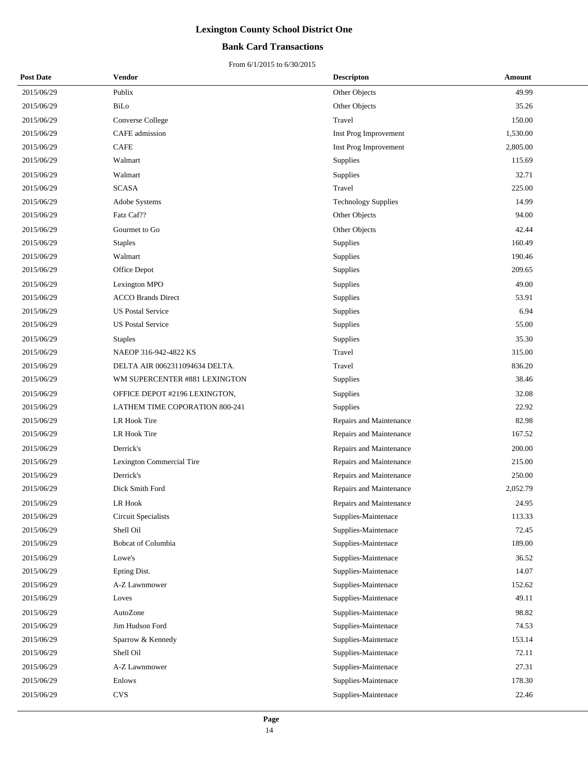### **Bank Card Transactions**

| <b>Post Date</b> | Vendor                         | <b>Descripton</b>          | Amount   |
|------------------|--------------------------------|----------------------------|----------|
| 2015/06/29       | Publix                         | Other Objects              | 49.99    |
| 2015/06/29       | BiLo                           | Other Objects              | 35.26    |
| 2015/06/29       | Converse College               | Travel                     | 150.00   |
| 2015/06/29       | CAFE admission                 | Inst Prog Improvement      | 1,530.00 |
| 2015/06/29       | <b>CAFE</b>                    | Inst Prog Improvement      | 2,805.00 |
| 2015/06/29       | Walmart                        | Supplies                   | 115.69   |
| 2015/06/29       | Walmart                        | Supplies                   | 32.71    |
| 2015/06/29       | <b>SCASA</b>                   | Travel                     | 225.00   |
| 2015/06/29       | Adobe Systems                  | <b>Technology Supplies</b> | 14.99    |
| 2015/06/29       | Fatz Caf??                     | Other Objects              | 94.00    |
| 2015/06/29       | Gourmet to Go                  | Other Objects              | 42.44    |
| 2015/06/29       | <b>Staples</b>                 | Supplies                   | 160.49   |
| 2015/06/29       | Walmart                        | Supplies                   | 190.46   |
| 2015/06/29       | Office Depot                   | Supplies                   | 209.65   |
| 2015/06/29       | Lexington MPO                  | Supplies                   | 49.00    |
| 2015/06/29       | <b>ACCO Brands Direct</b>      | Supplies                   | 53.91    |
| 2015/06/29       | <b>US Postal Service</b>       | <b>Supplies</b>            | 6.94     |
| 2015/06/29       | <b>US Postal Service</b>       | Supplies                   | 55.00    |
| 2015/06/29       | <b>Staples</b>                 | Supplies                   | 35.30    |
| 2015/06/29       | NAEOP 316-942-4822 KS          | Travel                     | 315.00   |
| 2015/06/29       | DELTA AIR 0062311094634 DELTA. | Travel                     | 836.20   |
| 2015/06/29       | WM SUPERCENTER #881 LEXINGTON  | Supplies                   | 38.46    |
| 2015/06/29       | OFFICE DEPOT #2196 LEXINGTON,  | Supplies                   | 32.08    |
| 2015/06/29       | LATHEM TIME COPORATION 800-241 | Supplies                   | 22.92    |
| 2015/06/29       | LR Hook Tire                   | Repairs and Maintenance    | 82.98    |
| 2015/06/29       | LR Hook Tire                   | Repairs and Maintenance    | 167.52   |
| 2015/06/29       | Derrick's                      | Repairs and Maintenance    | 200.00   |
| 2015/06/29       | Lexington Commercial Tire      | Repairs and Maintenance    | 215.00   |
| 2015/06/29       | Derrick's                      | Repairs and Maintenance    | 250.00   |
| 2015/06/29       | Dick Smith Ford                | Repairs and Maintenance    | 2,052.79 |
| 2015/06/29       | LR Hook                        | Repairs and Maintenance    | 24.95    |
| 2015/06/29       | Circuit Specialists            | Supplies-Maintenace        | 113.33   |
| 2015/06/29       | Shell Oil                      | Supplies-Maintenace        | 72.45    |
| 2015/06/29       | Bobcat of Columbia             | Supplies-Maintenace        | 189.00   |
| 2015/06/29       | Lowe's                         | Supplies-Maintenace        | 36.52    |
| 2015/06/29       | Epting Dist.                   | Supplies-Maintenace        | 14.07    |
| 2015/06/29       | A-Z Lawnmower                  | Supplies-Maintenace        | 152.62   |
| 2015/06/29       | Loves                          | Supplies-Maintenace        | 49.11    |
| 2015/06/29       | AutoZone                       | Supplies-Maintenace        | 98.82    |
| 2015/06/29       | Jim Hudson Ford                | Supplies-Maintenace        | 74.53    |
| 2015/06/29       | Sparrow & Kennedy              | Supplies-Maintenace        | 153.14   |
| 2015/06/29       | Shell Oil                      | Supplies-Maintenace        | 72.11    |
| 2015/06/29       | A-Z Lawnmower                  | Supplies-Maintenace        | 27.31    |
| 2015/06/29       | Enlows                         | Supplies-Maintenace        | 178.30   |
| 2015/06/29       | <b>CVS</b>                     | Supplies-Maintenace        | 22.46    |
|                  |                                |                            |          |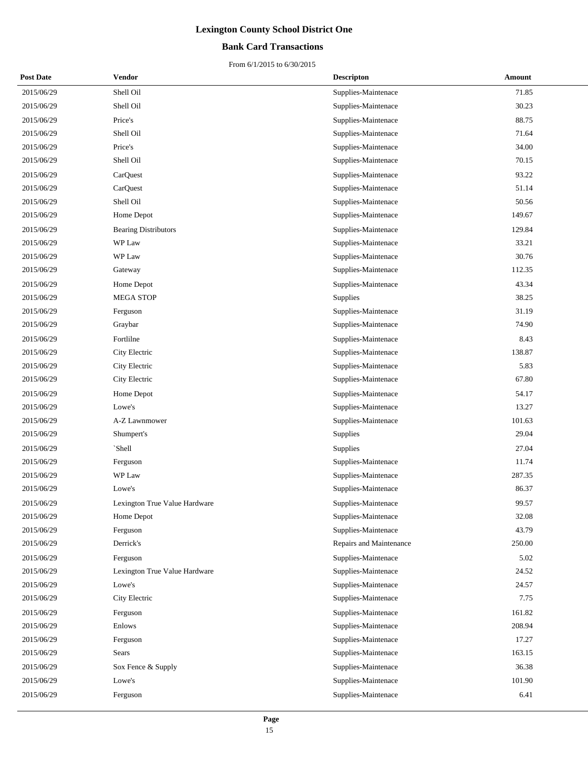### **Bank Card Transactions**

| <b>Post Date</b> | Vendor                        | <b>Descripton</b>       | Amount |
|------------------|-------------------------------|-------------------------|--------|
| 2015/06/29       | Shell Oil                     | Supplies-Maintenace     | 71.85  |
| 2015/06/29       | Shell Oil                     | Supplies-Maintenace     | 30.23  |
| 2015/06/29       | Price's                       | Supplies-Maintenace     | 88.75  |
| 2015/06/29       | Shell Oil                     | Supplies-Maintenace     | 71.64  |
| 2015/06/29       | Price's                       | Supplies-Maintenace     | 34.00  |
| 2015/06/29       | Shell Oil                     | Supplies-Maintenace     | 70.15  |
| 2015/06/29       | CarQuest                      | Supplies-Maintenace     | 93.22  |
| 2015/06/29       | CarQuest                      | Supplies-Maintenace     | 51.14  |
| 2015/06/29       | Shell Oil                     | Supplies-Maintenace     | 50.56  |
| 2015/06/29       | Home Depot                    | Supplies-Maintenace     | 149.67 |
| 2015/06/29       | <b>Bearing Distributors</b>   | Supplies-Maintenace     | 129.84 |
| 2015/06/29       | WP Law                        | Supplies-Maintenace     | 33.21  |
| 2015/06/29       | WP Law                        | Supplies-Maintenace     | 30.76  |
| 2015/06/29       | Gateway                       | Supplies-Maintenace     | 112.35 |
| 2015/06/29       | Home Depot                    | Supplies-Maintenace     | 43.34  |
| 2015/06/29       | <b>MEGA STOP</b>              | Supplies                | 38.25  |
| 2015/06/29       | Ferguson                      | Supplies-Maintenace     | 31.19  |
| 2015/06/29       | Graybar                       | Supplies-Maintenace     | 74.90  |
| 2015/06/29       | Fortlilne                     | Supplies-Maintenace     | 8.43   |
| 2015/06/29       | City Electric                 | Supplies-Maintenace     | 138.87 |
| 2015/06/29       | City Electric                 | Supplies-Maintenace     | 5.83   |
| 2015/06/29       | City Electric                 | Supplies-Maintenace     | 67.80  |
| 2015/06/29       | Home Depot                    | Supplies-Maintenace     | 54.17  |
| 2015/06/29       | Lowe's                        | Supplies-Maintenace     | 13.27  |
| 2015/06/29       | A-Z Lawnmower                 | Supplies-Maintenace     | 101.63 |
| 2015/06/29       | Shumpert's                    | Supplies                | 29.04  |
| 2015/06/29       | `Shell                        | Supplies                | 27.04  |
| 2015/06/29       | Ferguson                      | Supplies-Maintenace     | 11.74  |
| 2015/06/29       | WP Law                        | Supplies-Maintenace     | 287.35 |
| 2015/06/29       | Lowe's                        | Supplies-Maintenace     | 86.37  |
| 2015/06/29       | Lexington True Value Hardware | Supplies-Maintenace     | 99.57  |
| 2015/06/29       | Home Depot                    | Supplies-Maintenace     | 32.08  |
| 2015/06/29       | Ferguson                      | Supplies-Maintenace     | 43.79  |
| 2015/06/29       | Derrick's                     | Repairs and Maintenance | 250.00 |
| 2015/06/29       | Ferguson                      | Supplies-Maintenace     | 5.02   |
| 2015/06/29       | Lexington True Value Hardware | Supplies-Maintenace     | 24.52  |
| 2015/06/29       | Lowe's                        | Supplies-Maintenace     | 24.57  |
| 2015/06/29       | City Electric                 | Supplies-Maintenace     | 7.75   |
| 2015/06/29       | Ferguson                      | Supplies-Maintenace     | 161.82 |
| 2015/06/29       | Enlows                        | Supplies-Maintenace     | 208.94 |
| 2015/06/29       | Ferguson                      | Supplies-Maintenace     | 17.27  |
| 2015/06/29       | Sears                         | Supplies-Maintenace     | 163.15 |
| 2015/06/29       | Sox Fence & Supply            | Supplies-Maintenace     | 36.38  |
| 2015/06/29       | Lowe's                        | Supplies-Maintenace     | 101.90 |
| 2015/06/29       | Ferguson                      | Supplies-Maintenace     | 6.41   |
|                  |                               |                         |        |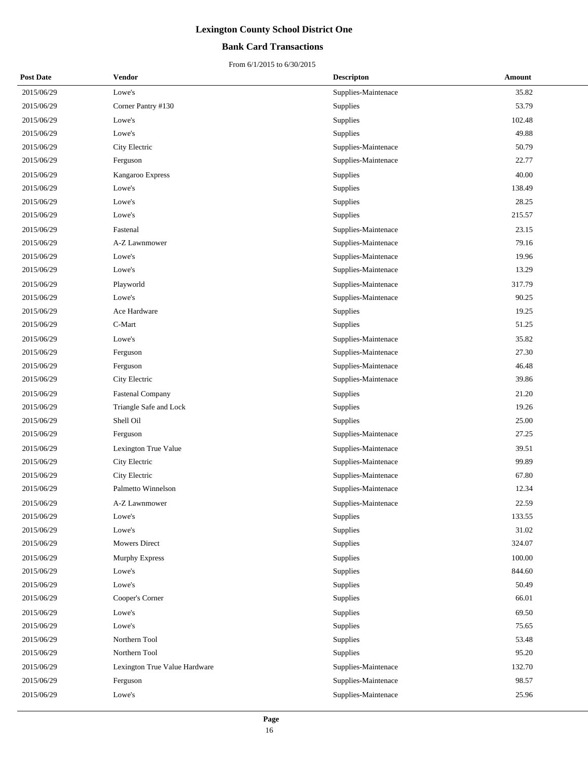### **Bank Card Transactions**

| <b>Post Date</b> | Vendor                        | <b>Descripton</b>   | Amount |
|------------------|-------------------------------|---------------------|--------|
| 2015/06/29       | Lowe's                        | Supplies-Maintenace | 35.82  |
| 2015/06/29       | Corner Pantry #130            | Supplies            | 53.79  |
| 2015/06/29       | Lowe's                        | Supplies            | 102.48 |
| 2015/06/29       | Lowe's                        | Supplies            | 49.88  |
| 2015/06/29       | City Electric                 | Supplies-Maintenace | 50.79  |
| 2015/06/29       | Ferguson                      | Supplies-Maintenace | 22.77  |
| 2015/06/29       | Kangaroo Express              | Supplies            | 40.00  |
| 2015/06/29       | Lowe's                        | Supplies            | 138.49 |
| 2015/06/29       | Lowe's                        | Supplies            | 28.25  |
| 2015/06/29       | Lowe's                        | Supplies            | 215.57 |
| 2015/06/29       | Fastenal                      | Supplies-Maintenace | 23.15  |
| 2015/06/29       | A-Z Lawnmower                 | Supplies-Maintenace | 79.16  |
| 2015/06/29       | Lowe's                        | Supplies-Maintenace | 19.96  |
| 2015/06/29       | Lowe's                        | Supplies-Maintenace | 13.29  |
| 2015/06/29       | Playworld                     | Supplies-Maintenace | 317.79 |
| 2015/06/29       | Lowe's                        | Supplies-Maintenace | 90.25  |
| 2015/06/29       | Ace Hardware                  | Supplies            | 19.25  |
| 2015/06/29       | C-Mart                        | Supplies            | 51.25  |
| 2015/06/29       | Lowe's                        | Supplies-Maintenace | 35.82  |
| 2015/06/29       | Ferguson                      | Supplies-Maintenace | 27.30  |
| 2015/06/29       | Ferguson                      | Supplies-Maintenace | 46.48  |
| 2015/06/29       | City Electric                 | Supplies-Maintenace | 39.86  |
| 2015/06/29       | <b>Fastenal Company</b>       | Supplies            | 21.20  |
| 2015/06/29       | Triangle Safe and Lock        | Supplies            | 19.26  |
| 2015/06/29       | Shell Oil                     | Supplies            | 25.00  |
| 2015/06/29       | Ferguson                      | Supplies-Maintenace | 27.25  |
| 2015/06/29       | Lexington True Value          | Supplies-Maintenace | 39.51  |
| 2015/06/29       | City Electric                 | Supplies-Maintenace | 99.89  |
| 2015/06/29       | City Electric                 | Supplies-Maintenace | 67.80  |
| 2015/06/29       | Palmetto Winnelson            | Supplies-Maintenace | 12.34  |
| 2015/06/29       | A-Z Lawnmower                 | Supplies-Maintenace | 22.59  |
| 2015/06/29       | Lowe's                        | Supplies            | 133.55 |
| 2015/06/29       | Lowe's                        | Supplies            | 31.02  |
| 2015/06/29       | <b>Mowers Direct</b>          | Supplies            | 324.07 |
| 2015/06/29       | <b>Murphy Express</b>         | Supplies            | 100.00 |
| 2015/06/29       | Lowe's                        | Supplies            | 844.60 |
| 2015/06/29       | Lowe's                        | Supplies            | 50.49  |
| 2015/06/29       | Cooper's Corner               | Supplies            | 66.01  |
| 2015/06/29       | Lowe's                        | Supplies            | 69.50  |
| 2015/06/29       | Lowe's                        | Supplies            | 75.65  |
| 2015/06/29       | Northern Tool                 | Supplies            | 53.48  |
| 2015/06/29       | Northern Tool                 | Supplies            | 95.20  |
| 2015/06/29       | Lexington True Value Hardware | Supplies-Maintenace | 132.70 |
| 2015/06/29       | Ferguson                      | Supplies-Maintenace | 98.57  |
| 2015/06/29       | Lowe's                        | Supplies-Maintenace | 25.96  |
|                  |                               |                     |        |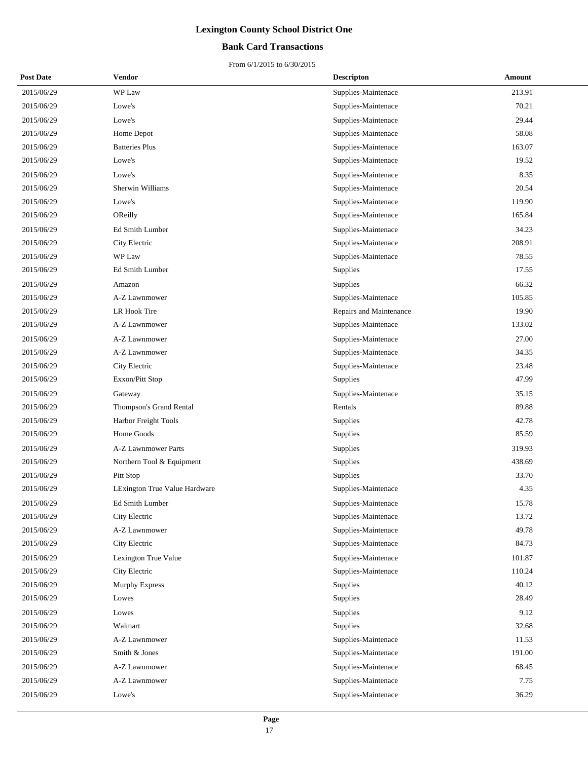### **Bank Card Transactions**

| <b>Post Date</b> | Vendor                        | <b>Descripton</b>       | Amount |
|------------------|-------------------------------|-------------------------|--------|
| 2015/06/29       | WP Law                        | Supplies-Maintenace     | 213.91 |
| 2015/06/29       | Lowe's                        | Supplies-Maintenace     | 70.21  |
| 2015/06/29       | Lowe's                        | Supplies-Maintenace     | 29.44  |
| 2015/06/29       | Home Depot                    | Supplies-Maintenace     | 58.08  |
| 2015/06/29       | <b>Batteries Plus</b>         | Supplies-Maintenace     | 163.07 |
| 2015/06/29       | Lowe's                        | Supplies-Maintenace     | 19.52  |
| 2015/06/29       | Lowe's                        | Supplies-Maintenace     | 8.35   |
| 2015/06/29       | Sherwin Williams              | Supplies-Maintenace     | 20.54  |
| 2015/06/29       | Lowe's                        | Supplies-Maintenace     | 119.90 |
| 2015/06/29       | OReilly                       | Supplies-Maintenace     | 165.84 |
| 2015/06/29       | Ed Smith Lumber               | Supplies-Maintenace     | 34.23  |
| 2015/06/29       | City Electric                 | Supplies-Maintenace     | 208.91 |
| 2015/06/29       | WP Law                        | Supplies-Maintenace     | 78.55  |
| 2015/06/29       | Ed Smith Lumber               | Supplies                | 17.55  |
| 2015/06/29       | Amazon                        | Supplies                | 66.32  |
| 2015/06/29       | A-Z Lawnmower                 | Supplies-Maintenace     | 105.85 |
| 2015/06/29       | LR Hook Tire                  | Repairs and Maintenance | 19.90  |
| 2015/06/29       | A-Z Lawnmower                 | Supplies-Maintenace     | 133.02 |
| 2015/06/29       | A-Z Lawnmower                 | Supplies-Maintenace     | 27.00  |
| 2015/06/29       | A-Z Lawnmower                 | Supplies-Maintenace     | 34.35  |
| 2015/06/29       | City Electric                 | Supplies-Maintenace     | 23.48  |
| 2015/06/29       | Exxon/Pitt Stop               | Supplies                | 47.99  |
| 2015/06/29       | Gateway                       | Supplies-Maintenace     | 35.15  |
| 2015/06/29       | Thompson's Grand Rental       | Rentals                 | 89.88  |
| 2015/06/29       | Harbor Freight Tools          | Supplies                | 42.78  |
| 2015/06/29       | Home Goods                    | Supplies                | 85.59  |
| 2015/06/29       | <b>A-Z Lawnmower Parts</b>    | Supplies                | 319.93 |
| 2015/06/29       | Northern Tool & Equipment     | Supplies                | 438.69 |
| 2015/06/29       | Pitt Stop                     | Supplies                | 33.70  |
| 2015/06/29       | LExington True Value Hardware | Supplies-Maintenace     | 4.35   |
| 2015/06/29       | Ed Smith Lumber               | Supplies-Maintenace     | 15.78  |
| 2015/06/29       | City Electric                 | Supplies-Maintenace     | 13.72  |
| 2015/06/29       | A-Z Lawnmower                 | Supplies-Maintenace     | 49.78  |
| 2015/06/29       | City Electric                 | Supplies-Maintenace     | 84.73  |
| 2015/06/29       | Lexington True Value          | Supplies-Maintenace     | 101.87 |
| 2015/06/29       | City Electric                 | Supplies-Maintenace     | 110.24 |
| 2015/06/29       | Murphy Express                | Supplies                | 40.12  |
| 2015/06/29       | Lowes                         | Supplies                | 28.49  |
| 2015/06/29       | Lowes                         | Supplies                | 9.12   |
| 2015/06/29       | Walmart                       | Supplies                | 32.68  |
| 2015/06/29       | A-Z Lawnmower                 | Supplies-Maintenace     | 11.53  |
| 2015/06/29       | Smith & Jones                 | Supplies-Maintenace     | 191.00 |
| 2015/06/29       | A-Z Lawnmower                 | Supplies-Maintenace     | 68.45  |
| 2015/06/29       | A-Z Lawnmower                 | Supplies-Maintenace     | 7.75   |
| 2015/06/29       | Lowe's                        | Supplies-Maintenace     | 36.29  |
|                  |                               |                         |        |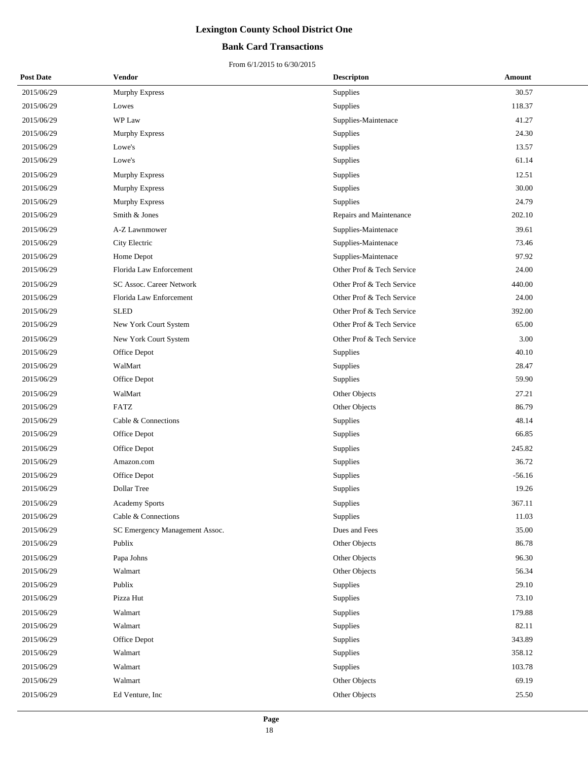### **Bank Card Transactions**

| <b>Post Date</b> | Vendor                         | <b>Descripton</b>         | Amount   |
|------------------|--------------------------------|---------------------------|----------|
| 2015/06/29       | <b>Murphy Express</b>          | Supplies                  | 30.57    |
| 2015/06/29       | Lowes                          | Supplies                  | 118.37   |
| 2015/06/29       | WP Law                         | Supplies-Maintenace       | 41.27    |
| 2015/06/29       | Murphy Express                 | Supplies                  | 24.30    |
| 2015/06/29       | Lowe's                         | Supplies                  | 13.57    |
| 2015/06/29       | Lowe's                         | Supplies                  | 61.14    |
| 2015/06/29       | Murphy Express                 | Supplies                  | 12.51    |
| 2015/06/29       | Murphy Express                 | Supplies                  | 30.00    |
| 2015/06/29       | Murphy Express                 | Supplies                  | 24.79    |
| 2015/06/29       | Smith & Jones                  | Repairs and Maintenance   | 202.10   |
| 2015/06/29       | A-Z Lawnmower                  | Supplies-Maintenace       | 39.61    |
| 2015/06/29       | City Electric                  | Supplies-Maintenace       | 73.46    |
| 2015/06/29       | Home Depot                     | Supplies-Maintenace       | 97.92    |
| 2015/06/29       | Florida Law Enforcement        | Other Prof & Tech Service | 24.00    |
| 2015/06/29       | SC Assoc. Career Network       | Other Prof & Tech Service | 440.00   |
| 2015/06/29       | Florida Law Enforcement        | Other Prof & Tech Service | 24.00    |
| 2015/06/29       | <b>SLED</b>                    | Other Prof & Tech Service | 392.00   |
| 2015/06/29       | New York Court System          | Other Prof & Tech Service | 65.00    |
| 2015/06/29       | New York Court System          | Other Prof & Tech Service | 3.00     |
| 2015/06/29       | Office Depot                   | Supplies                  | 40.10    |
| 2015/06/29       | WalMart                        | Supplies                  | 28.47    |
| 2015/06/29       | Office Depot                   | Supplies                  | 59.90    |
| 2015/06/29       | WalMart                        | Other Objects             | 27.21    |
| 2015/06/29       | <b>FATZ</b>                    | Other Objects             | 86.79    |
| 2015/06/29       | Cable & Connections            | Supplies                  | 48.14    |
| 2015/06/29       | Office Depot                   | Supplies                  | 66.85    |
| 2015/06/29       | Office Depot                   | Supplies                  | 245.82   |
| 2015/06/29       | Amazon.com                     | Supplies                  | 36.72    |
| 2015/06/29       | Office Depot                   | Supplies                  | $-56.16$ |
| 2015/06/29       | Dollar Tree                    | Supplies                  | 19.26    |
| 2015/06/29       | Academy Sports                 | Supplies                  | 367.11   |
| 2015/06/29       | Cable & Connections            | Supplies                  | 11.03    |
| 2015/06/29       | SC Emergency Management Assoc. | Dues and Fees             | 35.00    |
| 2015/06/29       | Publix                         | Other Objects             | 86.78    |
| 2015/06/29       | Papa Johns                     | Other Objects             | 96.30    |
| 2015/06/29       | Walmart                        | Other Objects             | 56.34    |
| 2015/06/29       | Publix                         | Supplies                  | 29.10    |
| 2015/06/29       | Pizza Hut                      | Supplies                  | 73.10    |
| 2015/06/29       | Walmart                        | Supplies                  | 179.88   |
| 2015/06/29       | Walmart                        | Supplies                  | 82.11    |
| 2015/06/29       | Office Depot                   | Supplies                  | 343.89   |
| 2015/06/29       | Walmart                        | Supplies                  | 358.12   |
| 2015/06/29       | Walmart                        | Supplies                  | 103.78   |
| 2015/06/29       | Walmart                        | Other Objects             | 69.19    |
| 2015/06/29       | Ed Venture, Inc                | Other Objects             | 25.50    |
|                  |                                |                           |          |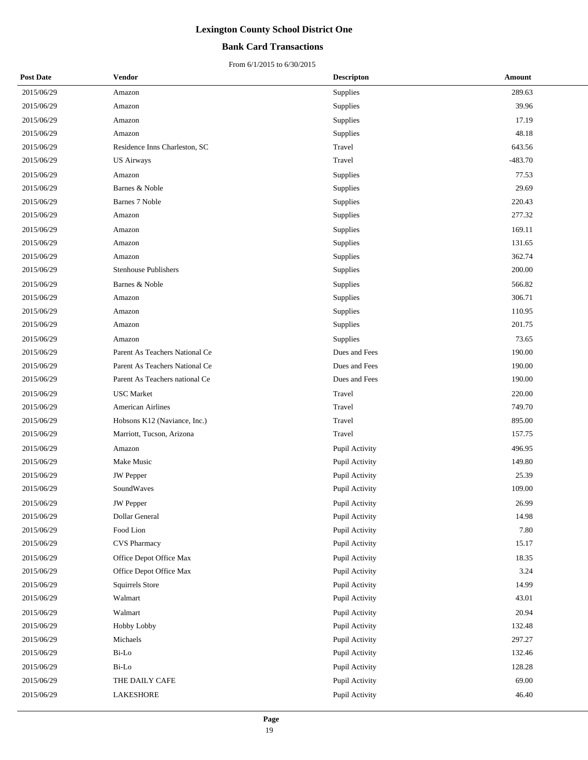### **Bank Card Transactions**

| <b>Post Date</b> | Vendor                         | <b>Descripton</b> | Amount    |
|------------------|--------------------------------|-------------------|-----------|
| 2015/06/29       | Amazon                         | Supplies          | 289.63    |
| 2015/06/29       | Amazon                         | Supplies          | 39.96     |
| 2015/06/29       | Amazon                         | Supplies          | 17.19     |
| 2015/06/29       | Amazon                         | Supplies          | 48.18     |
| 2015/06/29       | Residence Inns Charleston, SC  | Travel            | 643.56    |
| 2015/06/29       | <b>US Airways</b>              | Travel            | $-483.70$ |
| 2015/06/29       | Amazon                         | Supplies          | 77.53     |
| 2015/06/29       | Barnes & Noble                 | Supplies          | 29.69     |
| 2015/06/29       | Barnes 7 Noble                 | Supplies          | 220.43    |
| 2015/06/29       | Amazon                         | Supplies          | 277.32    |
| 2015/06/29       | Amazon                         | Supplies          | 169.11    |
| 2015/06/29       | Amazon                         | Supplies          | 131.65    |
| 2015/06/29       | Amazon                         | Supplies          | 362.74    |
| 2015/06/29       | <b>Stenhouse Publishers</b>    | Supplies          | 200.00    |
| 2015/06/29       | Barnes & Noble                 | Supplies          | 566.82    |
| 2015/06/29       | Amazon                         | Supplies          | 306.71    |
| 2015/06/29       | Amazon                         | Supplies          | 110.95    |
| 2015/06/29       | Amazon                         | Supplies          | 201.75    |
| 2015/06/29       | Amazon                         | Supplies          | 73.65     |
| 2015/06/29       | Parent As Teachers National Ce | Dues and Fees     | 190.00    |
| 2015/06/29       | Parent As Teachers National Ce | Dues and Fees     | 190.00    |
| 2015/06/29       | Parent As Teachers national Ce | Dues and Fees     | 190.00    |
| 2015/06/29       | <b>USC</b> Market              | Travel            | 220.00    |
| 2015/06/29       | <b>American Airlines</b>       | Travel            | 749.70    |
| 2015/06/29       | Hobsons K12 (Naviance, Inc.)   | Travel            | 895.00    |
| 2015/06/29       | Marriott, Tucson, Arizona      | Travel            | 157.75    |
| 2015/06/29       | Amazon                         | Pupil Activity    | 496.95    |
| 2015/06/29       | Make Music                     | Pupil Activity    | 149.80    |
| 2015/06/29       | <b>JW</b> Pepper               | Pupil Activity    | 25.39     |
| 2015/06/29       | SoundWaves                     | Pupil Activity    | 109.00    |
| 2015/06/29       | <b>JW</b> Pepper               | Pupil Activity    | 26.99     |
| 2015/06/29       | Dollar General                 | Pupil Activity    | 14.98     |
| 2015/06/29       | Food Lion                      | Pupil Activity    | 7.80      |
| 2015/06/29       | <b>CVS Pharmacy</b>            | Pupil Activity    | 15.17     |
| 2015/06/29       | Office Depot Office Max        | Pupil Activity    | 18.35     |
| 2015/06/29       | Office Depot Office Max        | Pupil Activity    | 3.24      |
| 2015/06/29       | Squirrels Store                | Pupil Activity    | 14.99     |
| 2015/06/29       | Walmart                        | Pupil Activity    | 43.01     |
| 2015/06/29       | Walmart                        | Pupil Activity    | 20.94     |
| 2015/06/29       | Hobby Lobby                    | Pupil Activity    | 132.48    |
| 2015/06/29       | Michaels                       | Pupil Activity    | 297.27    |
| 2015/06/29       | Bi-Lo                          | Pupil Activity    | 132.46    |
| 2015/06/29       | Bi-Lo                          | Pupil Activity    | 128.28    |
| 2015/06/29       | THE DAILY CAFE                 | Pupil Activity    | 69.00     |
| 2015/06/29       | LAKESHORE                      | Pupil Activity    | 46.40     |
|                  |                                |                   |           |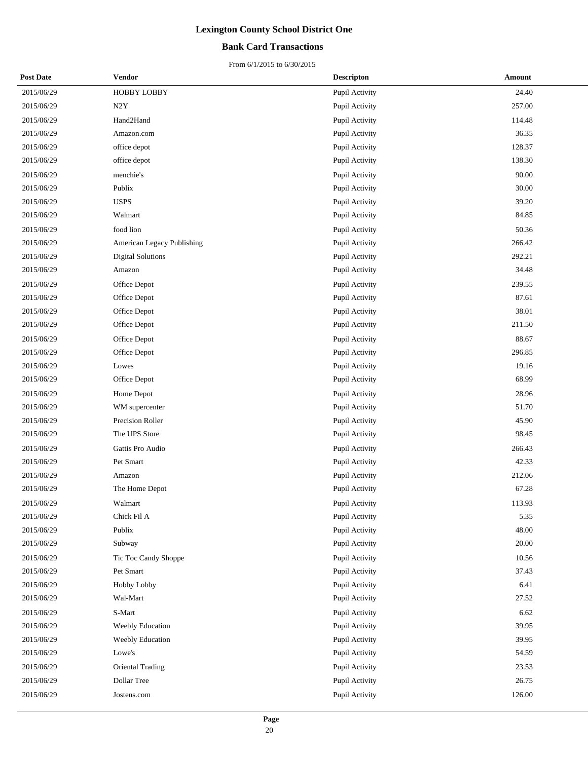### **Bank Card Transactions**

| <b>Post Date</b> | Vendor                     | <b>Descripton</b> | Amount |
|------------------|----------------------------|-------------------|--------|
| 2015/06/29       | <b>HOBBY LOBBY</b>         | Pupil Activity    | 24.40  |
| 2015/06/29       | N2Y                        | Pupil Activity    | 257.00 |
| 2015/06/29       | Hand2Hand                  | Pupil Activity    | 114.48 |
| 2015/06/29       | Amazon.com                 | Pupil Activity    | 36.35  |
| 2015/06/29       | office depot               | Pupil Activity    | 128.37 |
| 2015/06/29       | office depot               | Pupil Activity    | 138.30 |
| 2015/06/29       | menchie's                  | Pupil Activity    | 90.00  |
| 2015/06/29       | Publix                     | Pupil Activity    | 30.00  |
| 2015/06/29       | <b>USPS</b>                | Pupil Activity    | 39.20  |
| 2015/06/29       | Walmart                    | Pupil Activity    | 84.85  |
| 2015/06/29       | food lion                  | Pupil Activity    | 50.36  |
| 2015/06/29       | American Legacy Publishing | Pupil Activity    | 266.42 |
| 2015/06/29       | <b>Digital Solutions</b>   | Pupil Activity    | 292.21 |
| 2015/06/29       | Amazon                     | Pupil Activity    | 34.48  |
| 2015/06/29       | Office Depot               | Pupil Activity    | 239.55 |
| 2015/06/29       | Office Depot               | Pupil Activity    | 87.61  |
| 2015/06/29       | Office Depot               | Pupil Activity    | 38.01  |
| 2015/06/29       | Office Depot               | Pupil Activity    | 211.50 |
| 2015/06/29       | Office Depot               | Pupil Activity    | 88.67  |
| 2015/06/29       | Office Depot               | Pupil Activity    | 296.85 |
| 2015/06/29       | Lowes                      | Pupil Activity    | 19.16  |
| 2015/06/29       | Office Depot               | Pupil Activity    | 68.99  |
| 2015/06/29       | Home Depot                 | Pupil Activity    | 28.96  |
| 2015/06/29       | WM supercenter             | Pupil Activity    | 51.70  |
| 2015/06/29       | Precision Roller           | Pupil Activity    | 45.90  |
| 2015/06/29       | The UPS Store              | Pupil Activity    | 98.45  |
| 2015/06/29       | Gattis Pro Audio           | Pupil Activity    | 266.43 |
| 2015/06/29       | Pet Smart                  | Pupil Activity    | 42.33  |
| 2015/06/29       | Amazon                     | Pupil Activity    | 212.06 |
| 2015/06/29       | The Home Depot             | Pupil Activity    | 67.28  |
| 2015/06/29       | Walmart                    | Pupil Activity    | 113.93 |
| 2015/06/29       | Chick Fil A                | Pupil Activity    | 5.35   |
| 2015/06/29       | Publix                     | Pupil Activity    | 48.00  |
| 2015/06/29       | Subway                     | Pupil Activity    | 20.00  |
| 2015/06/29       | Tic Toc Candy Shoppe       | Pupil Activity    | 10.56  |
| 2015/06/29       | Pet Smart                  | Pupil Activity    | 37.43  |
| 2015/06/29       | Hobby Lobby                | Pupil Activity    | 6.41   |
| 2015/06/29       | Wal-Mart                   | Pupil Activity    | 27.52  |
| 2015/06/29       | S-Mart                     | Pupil Activity    | 6.62   |
| 2015/06/29       | Weebly Education           | Pupil Activity    | 39.95  |
| 2015/06/29       | Weebly Education           | Pupil Activity    | 39.95  |
| 2015/06/29       | Lowe's                     | Pupil Activity    | 54.59  |
| 2015/06/29       | Oriental Trading           | Pupil Activity    | 23.53  |
| 2015/06/29       | Dollar Tree                | Pupil Activity    | 26.75  |
| 2015/06/29       | Jostens.com                | Pupil Activity    | 126.00 |
|                  |                            |                   |        |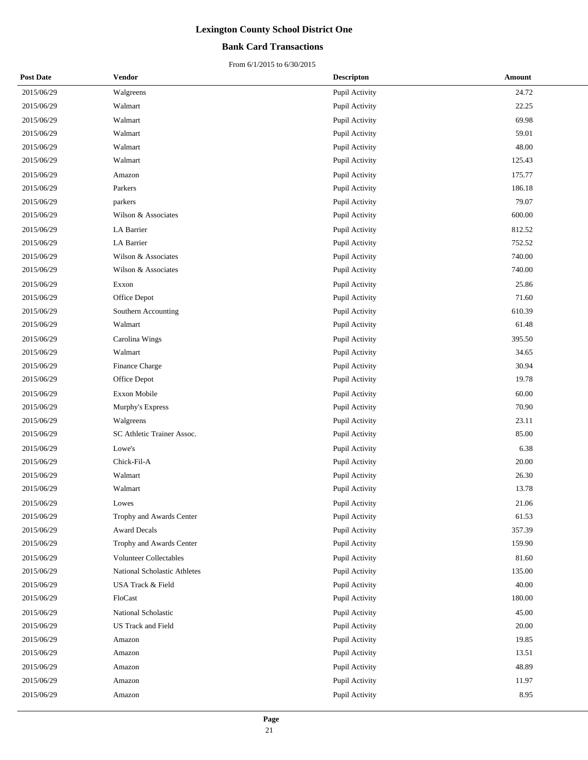### **Bank Card Transactions**

| <b>Post Date</b> | Vendor                        | <b>Descripton</b> | Amount |
|------------------|-------------------------------|-------------------|--------|
| 2015/06/29       | Walgreens                     | Pupil Activity    | 24.72  |
| 2015/06/29       | Walmart                       | Pupil Activity    | 22.25  |
| 2015/06/29       | Walmart                       | Pupil Activity    | 69.98  |
| 2015/06/29       | Walmart                       | Pupil Activity    | 59.01  |
| 2015/06/29       | Walmart                       | Pupil Activity    | 48.00  |
| 2015/06/29       | Walmart                       | Pupil Activity    | 125.43 |
| 2015/06/29       | Amazon                        | Pupil Activity    | 175.77 |
| 2015/06/29       | Parkers                       | Pupil Activity    | 186.18 |
| 2015/06/29       | parkers                       | Pupil Activity    | 79.07  |
| 2015/06/29       | Wilson & Associates           | Pupil Activity    | 600.00 |
| 2015/06/29       | LA Barrier                    | Pupil Activity    | 812.52 |
| 2015/06/29       | LA Barrier                    | Pupil Activity    | 752.52 |
| 2015/06/29       | Wilson & Associates           | Pupil Activity    | 740.00 |
| 2015/06/29       | Wilson & Associates           | Pupil Activity    | 740.00 |
| 2015/06/29       | Exxon                         | Pupil Activity    | 25.86  |
| 2015/06/29       | Office Depot                  | Pupil Activity    | 71.60  |
| 2015/06/29       | Southern Accounting           | Pupil Activity    | 610.39 |
| 2015/06/29       | Walmart                       | Pupil Activity    | 61.48  |
| 2015/06/29       | Carolina Wings                | Pupil Activity    | 395.50 |
| 2015/06/29       | Walmart                       | Pupil Activity    | 34.65  |
| 2015/06/29       | Finance Charge                | Pupil Activity    | 30.94  |
| 2015/06/29       | Office Depot                  | Pupil Activity    | 19.78  |
| 2015/06/29       | <b>Exxon Mobile</b>           | Pupil Activity    | 60.00  |
| 2015/06/29       | Murphy's Express              | Pupil Activity    | 70.90  |
| 2015/06/29       | Walgreens                     | Pupil Activity    | 23.11  |
| 2015/06/29       | SC Athletic Trainer Assoc.    | Pupil Activity    | 85.00  |
| 2015/06/29       | Lowe's                        | Pupil Activity    | 6.38   |
| 2015/06/29       | Chick-Fil-A                   | Pupil Activity    | 20.00  |
| 2015/06/29       | Walmart                       | Pupil Activity    | 26.30  |
| 2015/06/29       | Walmart                       | Pupil Activity    | 13.78  |
| 2015/06/29       | Lowes                         | Pupil Activity    | 21.06  |
| 2015/06/29       | Trophy and Awards Center      | Pupil Activity    | 61.53  |
| 2015/06/29       | <b>Award Decals</b>           | Pupil Activity    | 357.39 |
| 2015/06/29       | Trophy and Awards Center      | Pupil Activity    | 159.90 |
| 2015/06/29       | <b>Volunteer Collectables</b> | Pupil Activity    | 81.60  |
| 2015/06/29       | National Scholastic Athletes  | Pupil Activity    | 135.00 |
| 2015/06/29       | USA Track & Field             | Pupil Activity    | 40.00  |
| 2015/06/29       | FloCast                       | Pupil Activity    | 180.00 |
| 2015/06/29       | National Scholastic           | Pupil Activity    | 45.00  |
| 2015/06/29       | <b>US Track and Field</b>     | Pupil Activity    | 20.00  |
| 2015/06/29       | Amazon                        | Pupil Activity    | 19.85  |
| 2015/06/29       | Amazon                        | Pupil Activity    | 13.51  |
| 2015/06/29       | Amazon                        | Pupil Activity    | 48.89  |
| 2015/06/29       | Amazon                        | Pupil Activity    | 11.97  |
| 2015/06/29       | Amazon                        | Pupil Activity    | 8.95   |
|                  |                               |                   |        |